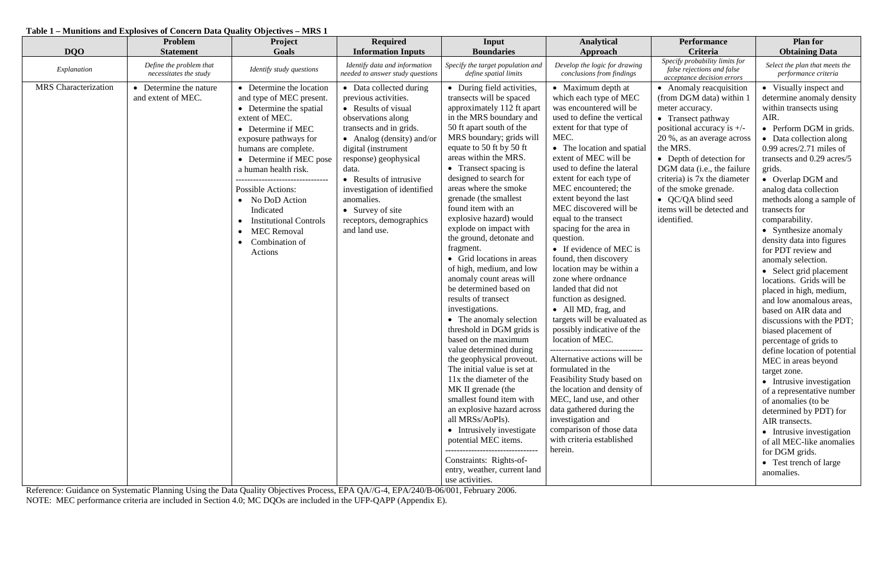# **Table 1 – Munitions and Explosives of Concern Data Quality Objectives – MRS 1**

| <b>DQO</b>                  | Problem<br><b>Statement</b>                       | Project<br>Goals                                                                                                                                                                                                                                                                                                                                                                                                  | <b>Required</b><br><b>Information Inputs</b>                                                                                                                                                                                                                                                                                                         | Input<br><b>Boundaries</b>                                                                                                                                                                                                                                                                                                                                                                                                                                                                                                                                                                                                                                                                                                                                                                                                                                                                                                                                                                                                                              | <b>Analytical</b><br>Approach                                                                                                                                                                                                                                                                                                                                                                                                                                                                                                                                                                                                                                                                                                                                                                                                                                                                                                                                                 | <b>Performance</b><br>Criteria                                                                                                                                                                                                                                                                                                                                | <b>Plan for</b><br><b>Obtaining Data</b>                                                                                                                                                                                                                                                                                                                                                                                                                                                                                                                                                                                                                                                                                                                                                                                                                                                                                                                                        |
|-----------------------------|---------------------------------------------------|-------------------------------------------------------------------------------------------------------------------------------------------------------------------------------------------------------------------------------------------------------------------------------------------------------------------------------------------------------------------------------------------------------------------|------------------------------------------------------------------------------------------------------------------------------------------------------------------------------------------------------------------------------------------------------------------------------------------------------------------------------------------------------|---------------------------------------------------------------------------------------------------------------------------------------------------------------------------------------------------------------------------------------------------------------------------------------------------------------------------------------------------------------------------------------------------------------------------------------------------------------------------------------------------------------------------------------------------------------------------------------------------------------------------------------------------------------------------------------------------------------------------------------------------------------------------------------------------------------------------------------------------------------------------------------------------------------------------------------------------------------------------------------------------------------------------------------------------------|-------------------------------------------------------------------------------------------------------------------------------------------------------------------------------------------------------------------------------------------------------------------------------------------------------------------------------------------------------------------------------------------------------------------------------------------------------------------------------------------------------------------------------------------------------------------------------------------------------------------------------------------------------------------------------------------------------------------------------------------------------------------------------------------------------------------------------------------------------------------------------------------------------------------------------------------------------------------------------|---------------------------------------------------------------------------------------------------------------------------------------------------------------------------------------------------------------------------------------------------------------------------------------------------------------------------------------------------------------|---------------------------------------------------------------------------------------------------------------------------------------------------------------------------------------------------------------------------------------------------------------------------------------------------------------------------------------------------------------------------------------------------------------------------------------------------------------------------------------------------------------------------------------------------------------------------------------------------------------------------------------------------------------------------------------------------------------------------------------------------------------------------------------------------------------------------------------------------------------------------------------------------------------------------------------------------------------------------------|
| Explanation                 | Define the problem that<br>necessitates the study | Identify study questions                                                                                                                                                                                                                                                                                                                                                                                          | Identify data and information<br>needed to answer study questions                                                                                                                                                                                                                                                                                    | Specify the target population and<br>define spatial limits                                                                                                                                                                                                                                                                                                                                                                                                                                                                                                                                                                                                                                                                                                                                                                                                                                                                                                                                                                                              | Develop the logic for drawing<br>conclusions from findings                                                                                                                                                                                                                                                                                                                                                                                                                                                                                                                                                                                                                                                                                                                                                                                                                                                                                                                    | Specify probability limits for<br>false rejections and false<br>acceptance decision errors                                                                                                                                                                                                                                                                    | Select the plan that meets the<br>performance criteria                                                                                                                                                                                                                                                                                                                                                                                                                                                                                                                                                                                                                                                                                                                                                                                                                                                                                                                          |
| <b>MRS</b> Characterization | • Determine the nature<br>and extent of MEC.      | • Determine the location<br>and type of MEC present.<br>• Determine the spatial<br>extent of MEC.<br>• Determine if MEC<br>exposure pathways for<br>humans are complete.<br>• Determine if MEC pose<br>a human health risk.<br>---------------------------------<br>Possible Actions:<br>• No DoD Action<br>Indicated<br><b>Institutional Controls</b><br>• MEC Removal<br>Combination of<br>$\bullet$<br>Actions | • Data collected during<br>previous activities.<br>• Results of visual<br>observations along<br>transects and in grids.<br>• Analog (density) and/or<br>digital (instrument<br>response) geophysical<br>data.<br>• Results of intrusive<br>investigation of identified<br>anomalies.<br>• Survey of site<br>receptors, demographics<br>and land use. | • During field activities,<br>transects will be spaced<br>approximately 112 ft apart<br>in the MRS boundary and<br>50 ft apart south of the<br>MRS boundary; grids will<br>equate to 50 ft by 50 ft<br>areas within the MRS.<br>• Transect spacing is<br>designed to search for<br>areas where the smoke<br>grenade (the smallest<br>found item with an<br>explosive hazard) would<br>explode on impact with<br>the ground, detonate and<br>fragment.<br>• Grid locations in areas<br>of high, medium, and low<br>anomaly count areas will<br>be determined based on<br>results of transect<br>investigations.<br>• The anomaly selection<br>threshold in DGM grids is<br>based on the maximum<br>value determined during<br>the geophysical proveout.<br>The initial value is set at<br>11x the diameter of the<br>MK II grenade (the<br>smallest found item with<br>an explosive hazard across<br>all MRSs/AoPIs).<br>• Intrusively investigate<br>potential MEC items.<br>Constraints: Rights-of-<br>entry, weather, current land<br>use activities. | • Maximum depth at<br>which each type of MEC<br>was encountered will be<br>used to define the vertical<br>extent for that type of<br>MEC.<br>• The location and spatial<br>extent of MEC will be<br>used to define the lateral<br>extent for each type of<br>MEC encountered; the<br>extent beyond the last<br>MEC discovered will be<br>equal to the transect<br>spacing for the area in<br>question.<br>• If evidence of MEC is<br>found, then discovery<br>location may be within a<br>zone where ordnance<br>landed that did not<br>function as designed.<br>• All MD, frag, and<br>targets will be evaluated as<br>possibly indicative of the<br>location of MEC.<br>---------------------------------<br>Alternative actions will be<br>formulated in the<br>Feasibility Study based on<br>the location and density of<br>MEC, land use, and other<br>data gathered during the<br>investigation and<br>comparison of those data<br>with criteria established<br>herein. | • Anomaly reacquisition<br>(from DGM data) within 1<br>meter accuracy.<br>• Transect pathway<br>positional accuracy is $+/-$<br>20 %, as an average across<br>the MRS.<br>• Depth of detection for<br>DGM data (i.e., the failure<br>criteria) is 7x the diameter<br>of the smoke grenade.<br>• QC/QA blind seed<br>items will be detected and<br>identified. | • Visually inspect and<br>determine anomaly density<br>within transects using<br>AIR.<br>• Perform DGM in grids.<br>• Data collection along<br>$0.99$ acres/2.71 miles of<br>transects and 0.29 acres/5<br>grids.<br>• Overlap DGM and<br>analog data collection<br>methods along a sample of<br>transects for<br>comparability.<br>• Synthesize anomaly<br>density data into figures<br>for PDT review and<br>anomaly selection.<br>• Select grid placement<br>locations. Grids will be<br>placed in high, medium,<br>and low anomalous areas,<br>based on AIR data and<br>discussions with the PDT;<br>biased placement of<br>percentage of grids to<br>define location of potential<br>MEC in areas beyond<br>target zone.<br>• Intrusive investigation<br>of a representative number<br>of anomalies (to be<br>determined by PDT) for<br>AIR transects.<br>• Intrusive investigation<br>of all MEC-like anomalies<br>for DGM grids.<br>• Test trench of large<br>anomalies. |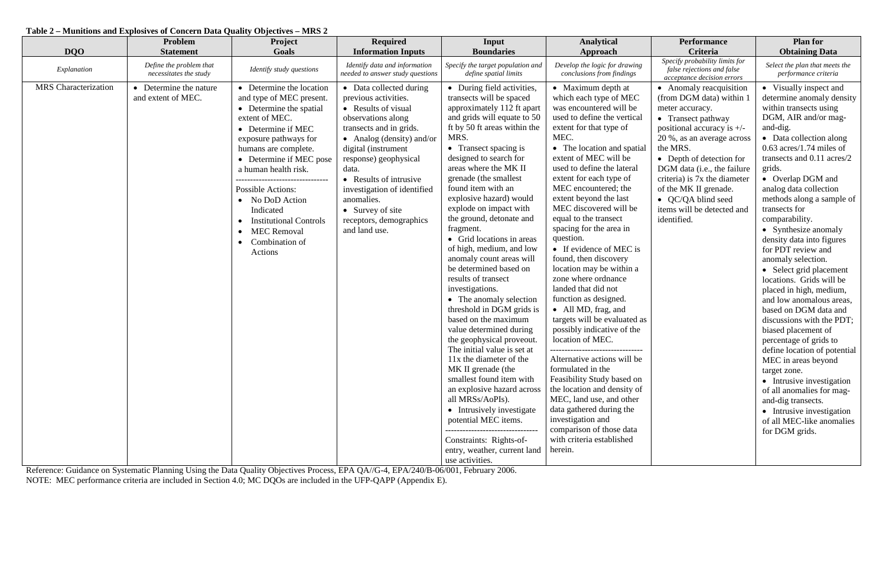## **Table 2 – Munitions and Explosives of Concern Data Quality Objectives – MRS 2**

| <b>DQO</b>                  | <b>Problem</b><br><b>Statement</b>                | Project<br>Goals                                                                                                                                                                                                                                                                                                                                                                              | <b>Required</b><br><b>Information Inputs</b>                                                                                                                                                                                                                                                                                                         | Input<br><b>Boundaries</b>                                                                                                                                                                                                                                                                                                                                                                                                                                                                                                                                                                                                                                                                                                                                                                                                                                                                                                                                                                                                 | <b>Analytical</b><br>Approach                                                                                                                                                                                                                                                                                                                                                                                                                                                                                                                                                                                                                                                                                                                                                                                                                                                                                                                                                 | <b>Performance</b><br>Criteria                                                                                                                                                                                                                                                                                                                                | <b>Plan for</b><br><b>Obtaining Data</b>                                                                                                                                                                                                                                                                                                                                                                                                                                                                                                                                                                                                                                                                                                                                                                                                                                                           |
|-----------------------------|---------------------------------------------------|-----------------------------------------------------------------------------------------------------------------------------------------------------------------------------------------------------------------------------------------------------------------------------------------------------------------------------------------------------------------------------------------------|------------------------------------------------------------------------------------------------------------------------------------------------------------------------------------------------------------------------------------------------------------------------------------------------------------------------------------------------------|----------------------------------------------------------------------------------------------------------------------------------------------------------------------------------------------------------------------------------------------------------------------------------------------------------------------------------------------------------------------------------------------------------------------------------------------------------------------------------------------------------------------------------------------------------------------------------------------------------------------------------------------------------------------------------------------------------------------------------------------------------------------------------------------------------------------------------------------------------------------------------------------------------------------------------------------------------------------------------------------------------------------------|-------------------------------------------------------------------------------------------------------------------------------------------------------------------------------------------------------------------------------------------------------------------------------------------------------------------------------------------------------------------------------------------------------------------------------------------------------------------------------------------------------------------------------------------------------------------------------------------------------------------------------------------------------------------------------------------------------------------------------------------------------------------------------------------------------------------------------------------------------------------------------------------------------------------------------------------------------------------------------|---------------------------------------------------------------------------------------------------------------------------------------------------------------------------------------------------------------------------------------------------------------------------------------------------------------------------------------------------------------|----------------------------------------------------------------------------------------------------------------------------------------------------------------------------------------------------------------------------------------------------------------------------------------------------------------------------------------------------------------------------------------------------------------------------------------------------------------------------------------------------------------------------------------------------------------------------------------------------------------------------------------------------------------------------------------------------------------------------------------------------------------------------------------------------------------------------------------------------------------------------------------------------|
| Explanation                 | Define the problem that<br>necessitates the study | Identify study questions                                                                                                                                                                                                                                                                                                                                                                      | Identify data and information<br>needed to answer study questions                                                                                                                                                                                                                                                                                    | Specify the target population and<br>define spatial limits                                                                                                                                                                                                                                                                                                                                                                                                                                                                                                                                                                                                                                                                                                                                                                                                                                                                                                                                                                 | Develop the logic for drawing<br>conclusions from findings                                                                                                                                                                                                                                                                                                                                                                                                                                                                                                                                                                                                                                                                                                                                                                                                                                                                                                                    | Specify probability limits for<br>false rejections and false<br>acceptance decision errors                                                                                                                                                                                                                                                                    | Select the plan that meets the<br>performance criteria                                                                                                                                                                                                                                                                                                                                                                                                                                                                                                                                                                                                                                                                                                                                                                                                                                             |
| <b>MRS</b> Characterization | Determine the nature<br>and extent of MEC.        | • Determine the location<br>and type of MEC present.<br>• Determine the spatial<br>extent of MEC.<br>• Determine if MEC<br>exposure pathways for<br>humans are complete.<br>• Determine if MEC pose<br>a human health risk.<br>.<br><b>Possible Actions:</b><br>• No DoD Action<br>Indicated<br><b>Institutional Controls</b><br><b>MEC Removal</b><br>Combination of<br>$\bullet$<br>Actions | • Data collected during<br>previous activities.<br>• Results of visual<br>observations along<br>transects and in grids.<br>• Analog (density) and/or<br>digital (instrument<br>response) geophysical<br>data.<br>• Results of intrusive<br>investigation of identified<br>anomalies.<br>• Survey of site<br>receptors, demographics<br>and land use. | • During field activities,<br>transects will be spaced<br>approximately 112 ft apart<br>and grids will equate to 50<br>ft by 50 ft areas within the<br>MRS.<br>• Transect spacing is<br>designed to search for<br>areas where the MK II<br>grenade (the smallest<br>found item with an<br>explosive hazard) would<br>explode on impact with<br>the ground, detonate and<br>fragment.<br>• Grid locations in areas<br>of high, medium, and low<br>anomaly count areas will<br>be determined based on<br>results of transect<br>investigations.<br>• The anomaly selection<br>threshold in DGM grids is<br>based on the maximum<br>value determined during<br>the geophysical proveout.<br>The initial value is set at<br>11x the diameter of the<br>MK II grenade (the<br>smallest found item with<br>an explosive hazard across<br>all MRSs/AoPIs).<br>• Intrusively investigate<br>potential MEC items.<br>--------------------------------<br>Constraints: Rights-of-<br>entry, weather, current land<br>use activities. | • Maximum depth at<br>which each type of MEC<br>was encountered will be<br>used to define the vertical<br>extent for that type of<br>MEC.<br>• The location and spatial<br>extent of MEC will be<br>used to define the lateral<br>extent for each type of<br>MEC encountered; the<br>extent beyond the last<br>MEC discovered will be<br>equal to the transect<br>spacing for the area in<br>question.<br>• If evidence of MEC is<br>found, then discovery<br>location may be within a<br>zone where ordnance<br>landed that did not<br>function as designed.<br>• All MD, frag, and<br>targets will be evaluated as<br>possibly indicative of the<br>location of MEC.<br>.________________________________<br>Alternative actions will be<br>formulated in the<br>Feasibility Study based on<br>the location and density of<br>MEC, land use, and other<br>data gathered during the<br>investigation and<br>comparison of those data<br>with criteria established<br>herein. | • Anomaly reacquisition<br>(from DGM data) within 1<br>meter accuracy.<br>• Transect pathway<br>positional accuracy is $+/-$<br>20 %, as an average across<br>the MRS.<br>• Depth of detection for<br>DGM data (i.e., the failure<br>criteria) is 7x the diameter<br>of the MK II grenade.<br>• QC/QA blind seed<br>items will be detected and<br>identified. | • Visually inspect and<br>determine anomaly density<br>within transects using<br>DGM, AIR and/or mag-<br>and-dig.<br>• Data collection along<br>$0.63$ acres/1.74 miles of<br>transects and 0.11 acres/2<br>grids.<br>• Overlap DGM and<br>analog data collection<br>methods along a sample of<br>transects for<br>comparability.<br>• Synthesize anomaly<br>density data into figures<br>for PDT review and<br>anomaly selection.<br>• Select grid placement<br>locations. Grids will be<br>placed in high, medium,<br>and low anomalous areas,<br>based on DGM data and<br>discussions with the PDT; $\vert$<br>biased placement of<br>percentage of grids to<br>define location of potential<br>MEC in areas beyond<br>target zone.<br>• Intrusive investigation<br>of all anomalies for mag-<br>and-dig transects.<br>• Intrusive investigation<br>of all MEC-like anomalies<br>for DGM grids. |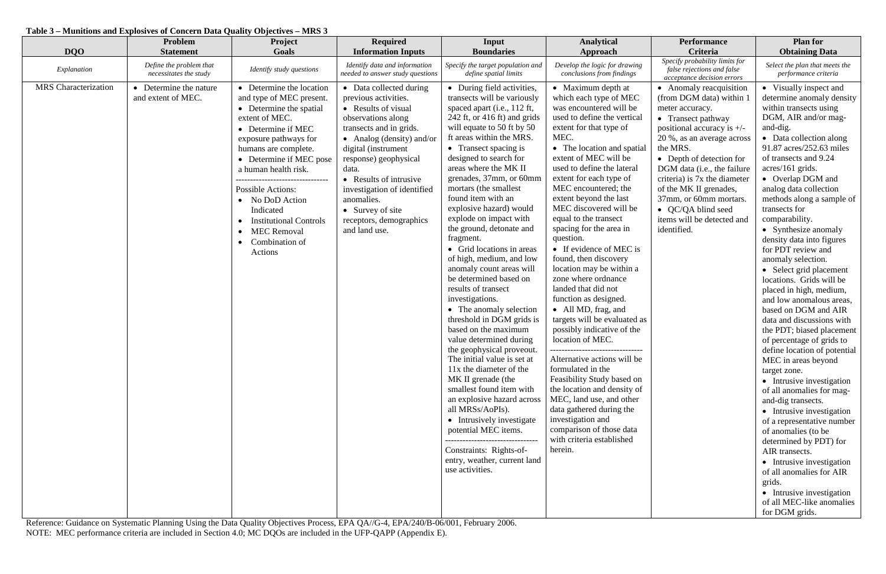## **Table 3 – Munitions and Explosives of Concern Data Quality Objectives – MRS 3**

| <b>DQO</b>                  | Problem<br><b>Statement</b>                       | <b>Project</b><br>Goals                                                                                                                                                                                                                                                                                                                                                                                                       | <b>Required</b><br><b>Information Inputs</b>                                                                                                                                                                                                                                                                                                         | Input<br><b>Boundaries</b>                                                                                                                                                                                                                                                                                                                                                                                                                                                                                                                                                                                                                                                                                                                                                                                                                                                                                                                                                                                                                                                    | <b>Analytical</b><br>Approach                                                                                                                                                                                                                                                                                                                                                                                                                                                                                                                                                                                                                                                                                                                                                                                                                                                                                                                                                | <b>Performance</b><br>Criteria                                                                                                                                                                                                                                                                                                                                                           | <b>Plan for</b><br><b>Obtaining Data</b>                                                                                                                                                                                                                                                                                                                                                                                                                                                                                                                                                                                                                                                                                                                                                                                                                                                                                                                                                                                                                                                                 |
|-----------------------------|---------------------------------------------------|-------------------------------------------------------------------------------------------------------------------------------------------------------------------------------------------------------------------------------------------------------------------------------------------------------------------------------------------------------------------------------------------------------------------------------|------------------------------------------------------------------------------------------------------------------------------------------------------------------------------------------------------------------------------------------------------------------------------------------------------------------------------------------------------|-------------------------------------------------------------------------------------------------------------------------------------------------------------------------------------------------------------------------------------------------------------------------------------------------------------------------------------------------------------------------------------------------------------------------------------------------------------------------------------------------------------------------------------------------------------------------------------------------------------------------------------------------------------------------------------------------------------------------------------------------------------------------------------------------------------------------------------------------------------------------------------------------------------------------------------------------------------------------------------------------------------------------------------------------------------------------------|------------------------------------------------------------------------------------------------------------------------------------------------------------------------------------------------------------------------------------------------------------------------------------------------------------------------------------------------------------------------------------------------------------------------------------------------------------------------------------------------------------------------------------------------------------------------------------------------------------------------------------------------------------------------------------------------------------------------------------------------------------------------------------------------------------------------------------------------------------------------------------------------------------------------------------------------------------------------------|------------------------------------------------------------------------------------------------------------------------------------------------------------------------------------------------------------------------------------------------------------------------------------------------------------------------------------------------------------------------------------------|----------------------------------------------------------------------------------------------------------------------------------------------------------------------------------------------------------------------------------------------------------------------------------------------------------------------------------------------------------------------------------------------------------------------------------------------------------------------------------------------------------------------------------------------------------------------------------------------------------------------------------------------------------------------------------------------------------------------------------------------------------------------------------------------------------------------------------------------------------------------------------------------------------------------------------------------------------------------------------------------------------------------------------------------------------------------------------------------------------|
| Explanation                 | Define the problem that<br>necessitates the study | Identify study questions                                                                                                                                                                                                                                                                                                                                                                                                      | Identify data and information<br>needed to answer study questions                                                                                                                                                                                                                                                                                    | Specify the target population and<br>define spatial limits                                                                                                                                                                                                                                                                                                                                                                                                                                                                                                                                                                                                                                                                                                                                                                                                                                                                                                                                                                                                                    | Develop the logic for drawing<br>conclusions from findings                                                                                                                                                                                                                                                                                                                                                                                                                                                                                                                                                                                                                                                                                                                                                                                                                                                                                                                   | Specify probability limits for<br>false rejections and false<br>acceptance decision errors                                                                                                                                                                                                                                                                                               | Select the plan that meets the<br>performance criteria                                                                                                                                                                                                                                                                                                                                                                                                                                                                                                                                                                                                                                                                                                                                                                                                                                                                                                                                                                                                                                                   |
| <b>MRS</b> Characterization | Determine the nature<br>and extent of MEC.        | • Determine the location<br>and type of MEC present.<br>• Determine the spatial<br>extent of MEC.<br>• Determine if MEC<br>exposure pathways for<br>humans are complete.<br>• Determine if MEC pose<br>a human health risk.<br>---------------------------------<br><b>Possible Actions:</b><br>• No DoD Action<br>Indicated<br><b>Institutional Controls</b><br><b>MEC Removal</b><br>$\bullet$<br>Combination of<br>Actions | • Data collected during<br>previous activities.<br>• Results of visual<br>observations along<br>transects and in grids.<br>• Analog (density) and/or<br>digital (instrument<br>response) geophysical<br>data.<br>• Results of intrusive<br>investigation of identified<br>anomalies.<br>• Survey of site<br>receptors, demographics<br>and land use. | • During field activities,<br>transects will be variously<br>spaced apart (i.e., 112 ft,<br>242 ft, or 416 ft) and grids<br>will equate to 50 ft by 50<br>ft areas within the MRS.<br>• Transect spacing is<br>designed to search for<br>areas where the MK II<br>grenades, 37mm, or 60mm<br>mortars (the smallest<br>found item with an<br>explosive hazard) would<br>explode on impact with<br>the ground, detonate and<br>fragment.<br>• Grid locations in areas<br>of high, medium, and low<br>anomaly count areas will<br>be determined based on<br>results of transect<br>investigations.<br>• The anomaly selection<br>threshold in DGM grids is<br>based on the maximum<br>value determined during<br>the geophysical proveout.<br>The initial value is set at<br>11x the diameter of the<br>MK II grenade (the<br>smallest found item with<br>an explosive hazard across<br>all MRSs/AoPIs).<br>• Intrusively investigate<br>potential MEC items.<br>---------------------------------<br>Constraints: Rights-of-<br>entry, weather, current land<br>use activities. | • Maximum depth at<br>which each type of MEC<br>was encountered will be<br>used to define the vertical<br>extent for that type of<br>MEC.<br>• The location and spatial<br>extent of MEC will be<br>used to define the lateral<br>extent for each type of<br>MEC encountered; the<br>extent beyond the last<br>MEC discovered will be<br>equal to the transect<br>spacing for the area in<br>question.<br>• If evidence of MEC is<br>found, then discovery<br>location may be within a<br>zone where ordnance<br>landed that did not<br>function as designed.<br>• All MD, frag, and<br>targets will be evaluated as<br>possibly indicative of the<br>location of MEC.<br>--------------------------------<br>Alternative actions will be<br>formulated in the<br>Feasibility Study based on<br>the location and density of<br>MEC, land use, and other<br>data gathered during the<br>investigation and<br>comparison of those data<br>with criteria established<br>herein. | • Anomaly reacquisition<br>(from DGM data) within 1<br>meter accuracy.<br>• Transect pathway<br>positional accuracy is $+/-$<br>20 %, as an average across<br>the MRS.<br>• Depth of detection for<br>DGM data (i.e., the failure<br>criteria) is 7x the diameter<br>of the MK II grenades,<br>37mm, or 60mm mortars.<br>• QC/QA blind seed<br>items will be detected and<br>identified. | • Visually inspect and<br>determine anomaly density<br>within transects using<br>DGM, AIR and/or mag-<br>and-dig.<br>• Data collection along<br>91.87 acres/252.63 miles<br>of transects and 9.24<br>$acres/161$ grids.<br>• Overlap DGM and<br>analog data collection<br>methods along a sample of<br>transects for<br>comparability.<br>• Synthesize anomaly<br>density data into figures<br>for PDT review and<br>anomaly selection.<br>• Select grid placement<br>locations. Grids will be<br>placed in high, medium,<br>and low anomalous areas,<br>based on DGM and AIR<br>data and discussions with<br>the PDT; biased placement<br>of percentage of grids to<br>define location of potential<br>MEC in areas beyond<br>target zone.<br>• Intrusive investigation<br>of all anomalies for mag-<br>and-dig transects.<br>• Intrusive investigation<br>of a representative number<br>of anomalies (to be<br>determined by PDT) for<br>AIR transects.<br>• Intrusive investigation<br>of all anomalies for AIR<br>grids.<br>• Intrusive investigation<br>of all MEC-like anomalies<br>for DGM grids. |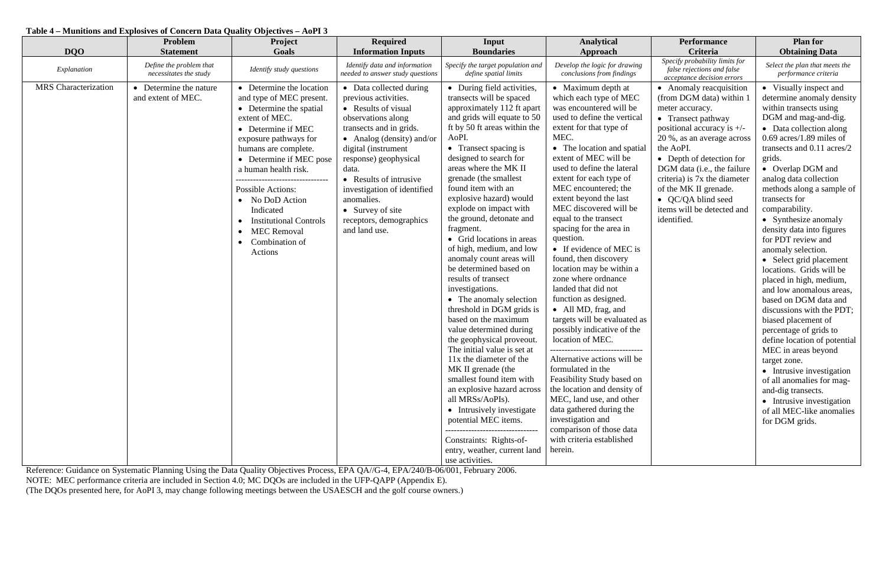#### **Table 4 – Munitions and Explosives of Concern Data Quality Objectives – AoPI 3**

| <b>DQO</b>                  | Problem<br><b>Statement</b>                       | Project<br>Goals                                                                                                                                                                                                                                                                                                                                                                                        | <b>Required</b><br><b>Information Inputs</b>                                                                                                                                                                                                                                                                                                         | Input<br><b>Boundaries</b>                                                                                                                                                                                                                                                                                                                                                                                                                                                                                                                                                                                                                                                                                                                                                                                                                                                                                                                                                                                                  | <b>Analytical</b><br>Approach                                                                                                                                                                                                                                                                                                                                                                                                                                                                                                                                                                                                                                                                                                                                                                                                                                                                                                                                               | Performance<br><b>Criteria</b>                                                                                                                                                                                                                                                                                                                                 | <b>Plan for</b><br><b>Obtaining Data</b>                                                                                                                                                                                                                                                                                                                                                                                                                                                                                                                                                                                                                                                                                                                                                                                                                                       |
|-----------------------------|---------------------------------------------------|---------------------------------------------------------------------------------------------------------------------------------------------------------------------------------------------------------------------------------------------------------------------------------------------------------------------------------------------------------------------------------------------------------|------------------------------------------------------------------------------------------------------------------------------------------------------------------------------------------------------------------------------------------------------------------------------------------------------------------------------------------------------|-----------------------------------------------------------------------------------------------------------------------------------------------------------------------------------------------------------------------------------------------------------------------------------------------------------------------------------------------------------------------------------------------------------------------------------------------------------------------------------------------------------------------------------------------------------------------------------------------------------------------------------------------------------------------------------------------------------------------------------------------------------------------------------------------------------------------------------------------------------------------------------------------------------------------------------------------------------------------------------------------------------------------------|-----------------------------------------------------------------------------------------------------------------------------------------------------------------------------------------------------------------------------------------------------------------------------------------------------------------------------------------------------------------------------------------------------------------------------------------------------------------------------------------------------------------------------------------------------------------------------------------------------------------------------------------------------------------------------------------------------------------------------------------------------------------------------------------------------------------------------------------------------------------------------------------------------------------------------------------------------------------------------|----------------------------------------------------------------------------------------------------------------------------------------------------------------------------------------------------------------------------------------------------------------------------------------------------------------------------------------------------------------|--------------------------------------------------------------------------------------------------------------------------------------------------------------------------------------------------------------------------------------------------------------------------------------------------------------------------------------------------------------------------------------------------------------------------------------------------------------------------------------------------------------------------------------------------------------------------------------------------------------------------------------------------------------------------------------------------------------------------------------------------------------------------------------------------------------------------------------------------------------------------------|
| Explanation                 | Define the problem that<br>necessitates the study | Identify study questions                                                                                                                                                                                                                                                                                                                                                                                | Identify data and information<br>needed to answer study questions                                                                                                                                                                                                                                                                                    | Specify the target population and<br>define spatial limits                                                                                                                                                                                                                                                                                                                                                                                                                                                                                                                                                                                                                                                                                                                                                                                                                                                                                                                                                                  | Develop the logic for drawing<br>conclusions from findings                                                                                                                                                                                                                                                                                                                                                                                                                                                                                                                                                                                                                                                                                                                                                                                                                                                                                                                  | Specify probability limits for<br>false rejections and false<br>acceptance decision errors                                                                                                                                                                                                                                                                     | Select the plan that meets the<br>performance criteria                                                                                                                                                                                                                                                                                                                                                                                                                                                                                                                                                                                                                                                                                                                                                                                                                         |
| <b>MRS</b> Characterization | Determine the nature<br>and extent of MEC.        | • Determine the location<br>and type of MEC present.<br>• Determine the spatial<br>extent of MEC.<br>• Determine if MEC<br>exposure pathways for<br>humans are complete.<br>• Determine if MEC pose<br>a human health risk.<br>-----------<br><b>Possible Actions:</b><br>• No DoD Action<br>Indicated<br><b>Institutional Controls</b><br><b>MEC Removal</b><br>Combination of<br>$\bullet$<br>Actions | • Data collected during<br>previous activities.<br>• Results of visual<br>observations along<br>transects and in grids.<br>• Analog (density) and/or<br>digital (instrument<br>response) geophysical<br>data.<br>• Results of intrusive<br>investigation of identified<br>anomalies.<br>• Survey of site<br>receptors, demographics<br>and land use. | • During field activities,<br>transects will be spaced<br>approximately 112 ft apart<br>and grids will equate to 50<br>ft by 50 ft areas within the<br>AoPI.<br>• Transect spacing is<br>designed to search for<br>areas where the MK II<br>grenade (the smallest<br>found item with an<br>explosive hazard) would<br>explode on impact with<br>the ground, detonate and<br>fragment.<br>• Grid locations in areas<br>of high, medium, and low<br>anomaly count areas will<br>be determined based on<br>results of transect<br>investigations.<br>• The anomaly selection<br>threshold in DGM grids is<br>based on the maximum<br>value determined during<br>the geophysical proveout.<br>The initial value is set at<br>11x the diameter of the<br>MK II grenade (the<br>smallest found item with<br>an explosive hazard across<br>all MRSs/AoPIs).<br>• Intrusively investigate<br>potential MEC items.<br>--------------------------------<br>Constraints: Rights-of-<br>entry, weather, current land<br>use activities. | • Maximum depth at<br>which each type of MEC<br>was encountered will be<br>used to define the vertical<br>extent for that type of<br>MEC.<br>• The location and spatial<br>extent of MEC will be<br>used to define the lateral<br>extent for each type of<br>MEC encountered; the<br>extent beyond the last<br>MEC discovered will be<br>equal to the transect<br>spacing for the area in<br>question.<br>• If evidence of MEC is<br>found, then discovery<br>location may be within a<br>zone where ordnance<br>landed that did not<br>function as designed.<br>• All MD, frag, and<br>targets will be evaluated as<br>possibly indicative of the<br>location of MEC.<br>-------------------------------<br>Alternative actions will be<br>formulated in the<br>Feasibility Study based on<br>the location and density of<br>MEC, land use, and other<br>data gathered during the<br>investigation and<br>comparison of those data<br>with criteria established<br>herein. | • Anomaly reacquisition<br>(from DGM data) within 1<br>meter accuracy.<br>• Transect pathway<br>positional accuracy is $+/-$<br>20 %, as an average across<br>the AoPI.<br>• Depth of detection for<br>DGM data (i.e., the failure<br>criteria) is 7x the diameter<br>of the MK II grenade.<br>• QC/QA blind seed<br>items will be detected and<br>identified. | • Visually inspect and<br>determine anomaly density<br>within transects using<br>DGM and mag-and-dig.<br>• Data collection along<br>$0.69$ acres/1.89 miles of<br>transects and 0.11 acres/2<br>grids.<br>• Overlap DGM and<br>analog data collection<br>methods along a sample of<br>transects for<br>comparability.<br>• Synthesize anomaly<br>density data into figures<br>for PDT review and<br>anomaly selection.<br>• Select grid placement<br>locations. Grids will be<br>placed in high, medium,<br>and low anomalous areas,<br>based on DGM data and<br>discussions with the PDT;<br>biased placement of<br>percentage of grids to<br>define location of potential<br>MEC in areas beyond<br>target zone.<br>• Intrusive investigation<br>of all anomalies for mag-<br>and-dig transects.<br>• Intrusive investigation<br>of all MEC-like anomalies<br>for DGM grids. |

Reference: Guidance on Systematic Planning Using the Data Quality Objectives Process, EPA QA//G-4, EPA/240/B-06/001, February 2006.

NOTE: MEC performance criteria are included in Section 4.0; MC DQOs are included in the UFP-QAPP (Appendix E).

(The DQOs presented here, for AoPI 3, may change following meetings between the USAESCH and the golf course owners.)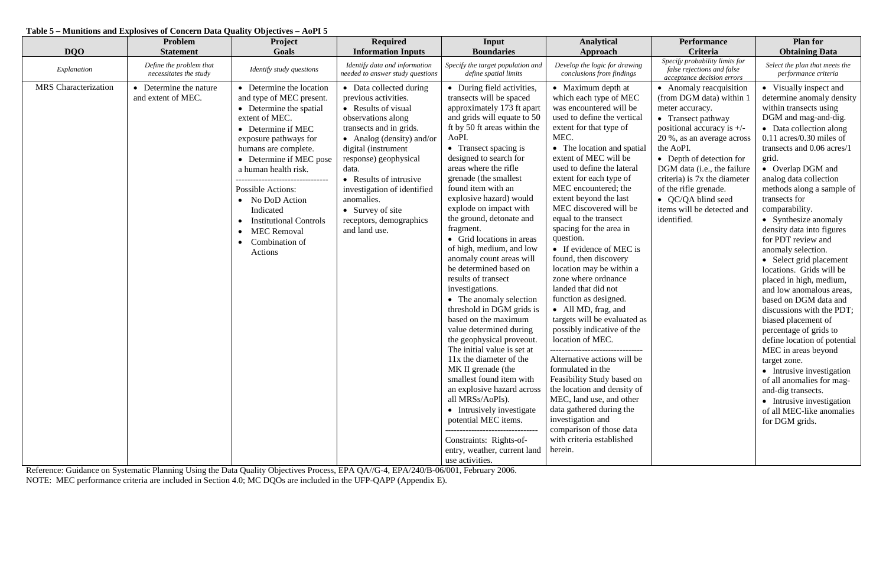## **Table 5 – Munitions and Explosives of Concern Data Quality Objectives – AoPI 5**

| <b>DQO</b>                  | Problem<br><b>Statement</b>                       | Project<br>Goals                                                                                                                                                                                                                                                                                                                                                                                                                          | <b>Required</b><br><b>Information Inputs</b>                                                                                                                                                                                                                                                                                                         | Input<br><b>Boundaries</b>                                                                                                                                                                                                                                                                                                                                                                                                                                                                                                                                                                                                                                                                                                                                                                                                                                                                                                                                                                                                   | <b>Analytical</b><br>Approach                                                                                                                                                                                                                                                                                                                                                                                                                                                                                                                                                                                                                                                                                                                                                                                                                                                                                                            | <b>Performance</b><br>Criteria                                                                                                                                                                                                                                                                                                                                 | <b>Plan for</b><br><b>Obtaining Data</b>                                                                                                                                                                                                                                                                                                                                                                                                                                                                                                                                                                                                                                                                                                                                                                                                                                      |
|-----------------------------|---------------------------------------------------|-------------------------------------------------------------------------------------------------------------------------------------------------------------------------------------------------------------------------------------------------------------------------------------------------------------------------------------------------------------------------------------------------------------------------------------------|------------------------------------------------------------------------------------------------------------------------------------------------------------------------------------------------------------------------------------------------------------------------------------------------------------------------------------------------------|------------------------------------------------------------------------------------------------------------------------------------------------------------------------------------------------------------------------------------------------------------------------------------------------------------------------------------------------------------------------------------------------------------------------------------------------------------------------------------------------------------------------------------------------------------------------------------------------------------------------------------------------------------------------------------------------------------------------------------------------------------------------------------------------------------------------------------------------------------------------------------------------------------------------------------------------------------------------------------------------------------------------------|------------------------------------------------------------------------------------------------------------------------------------------------------------------------------------------------------------------------------------------------------------------------------------------------------------------------------------------------------------------------------------------------------------------------------------------------------------------------------------------------------------------------------------------------------------------------------------------------------------------------------------------------------------------------------------------------------------------------------------------------------------------------------------------------------------------------------------------------------------------------------------------------------------------------------------------|----------------------------------------------------------------------------------------------------------------------------------------------------------------------------------------------------------------------------------------------------------------------------------------------------------------------------------------------------------------|-------------------------------------------------------------------------------------------------------------------------------------------------------------------------------------------------------------------------------------------------------------------------------------------------------------------------------------------------------------------------------------------------------------------------------------------------------------------------------------------------------------------------------------------------------------------------------------------------------------------------------------------------------------------------------------------------------------------------------------------------------------------------------------------------------------------------------------------------------------------------------|
| Explanation                 | Define the problem that<br>necessitates the study | Identify study questions                                                                                                                                                                                                                                                                                                                                                                                                                  | Identify data and information<br>needed to answer study questions                                                                                                                                                                                                                                                                                    | Specify the target population and<br>define spatial limits                                                                                                                                                                                                                                                                                                                                                                                                                                                                                                                                                                                                                                                                                                                                                                                                                                                                                                                                                                   | Develop the logic for drawing<br>conclusions from findings                                                                                                                                                                                                                                                                                                                                                                                                                                                                                                                                                                                                                                                                                                                                                                                                                                                                               | Specify probability limits for<br>false rejections and false<br>acceptance decision errors                                                                                                                                                                                                                                                                     | Select the plan that meets the<br>performance criteria                                                                                                                                                                                                                                                                                                                                                                                                                                                                                                                                                                                                                                                                                                                                                                                                                        |
| <b>MRS</b> Characterization | Determine the nature<br>and extent of MEC.        | • Determine the location<br>and type of MEC present.<br>• Determine the spatial<br>extent of MEC.<br>• Determine if MEC<br>exposure pathways for<br>humans are complete.<br>• Determine if MEC pose<br>a human health risk.<br>--------------------------------<br><b>Possible Actions:</b><br>• No DoD Action<br>Indicated<br><b>Institutional Controls</b><br><b>MEC Removal</b><br>$\bullet$<br>Combination of<br>$\bullet$<br>Actions | • Data collected during<br>previous activities.<br>• Results of visual<br>observations along<br>transects and in grids.<br>• Analog (density) and/or<br>digital (instrument<br>response) geophysical<br>data.<br>• Results of intrusive<br>investigation of identified<br>anomalies.<br>• Survey of site<br>receptors, demographics<br>and land use. | • During field activities,<br>transects will be spaced<br>approximately 173 ft apart<br>and grids will equate to 50<br>ft by 50 ft areas within the<br>AoPI.<br>• Transect spacing is<br>designed to search for<br>areas where the rifle<br>grenade (the smallest<br>found item with an<br>explosive hazard) would<br>explode on impact with<br>the ground, detonate and<br>fragment.<br>• Grid locations in areas<br>of high, medium, and low<br>anomaly count areas will<br>be determined based on<br>results of transect<br>investigations.<br>• The anomaly selection<br>threshold in DGM grids is<br>based on the maximum<br>value determined during<br>the geophysical proveout.<br>The initial value is set at<br>11x the diameter of the<br>MK II grenade (the<br>smallest found item with<br>an explosive hazard across<br>all MRSs/AoPIs).<br>• Intrusively investigate<br>potential MEC items.<br>---------------------------------<br>Constraints: Rights-of-<br>entry, weather, current land<br>use activities. | • Maximum depth at<br>which each type of MEC<br>was encountered will be<br>used to define the vertical<br>extent for that type of<br>MEC.<br>• The location and spatial<br>extent of MEC will be<br>used to define the lateral<br>extent for each type of<br>MEC encountered; the<br>extent beyond the last<br>MEC discovered will be<br>equal to the transect<br>spacing for the area in<br>question.<br>• If evidence of MEC is<br>found, then discovery<br>location may be within a<br>zone where ordnance<br>landed that did not<br>function as designed.<br>• All MD, frag, and<br>targets will be evaluated as<br>possibly indicative of the<br>location of MEC.<br>Alternative actions will be<br>formulated in the<br>Feasibility Study based on<br>the location and density of<br>MEC, land use, and other<br>data gathered during the<br>investigation and<br>comparison of those data<br>with criteria established<br>herein. | • Anomaly reacquisition<br>(from DGM data) within 1<br>meter accuracy.<br>• Transect pathway<br>positional accuracy is $+/-$<br>20 %, as an average across<br>the AoPI.<br>• Depth of detection for<br>DGM data (i.e., the failure<br>criteria) is 7x the diameter<br>of the rifle grenade.<br>• QC/QA blind seed<br>items will be detected and<br>identified. | • Visually inspect and<br>determine anomaly density<br>within transects using<br>DGM and mag-and-dig.<br>• Data collection along<br>$0.11$ acres/0.30 miles of<br>transects and 0.06 acres/1<br>grid.<br>• Overlap DGM and<br>analog data collection<br>methods along a sample of<br>transects for<br>comparability.<br>• Synthesize anomaly<br>density data into figures<br>for PDT review and<br>anomaly selection.<br>• Select grid placement<br>locations. Grids will be<br>placed in high, medium,<br>and low anomalous areas,<br>based on DGM data and<br>discussions with the PDT;<br>biased placement of<br>percentage of grids to<br>define location of potential<br>MEC in areas beyond<br>target zone.<br>• Intrusive investigation<br>of all anomalies for mag-<br>and-dig transects.<br>• Intrusive investigation<br>of all MEC-like anomalies<br>for DGM grids. |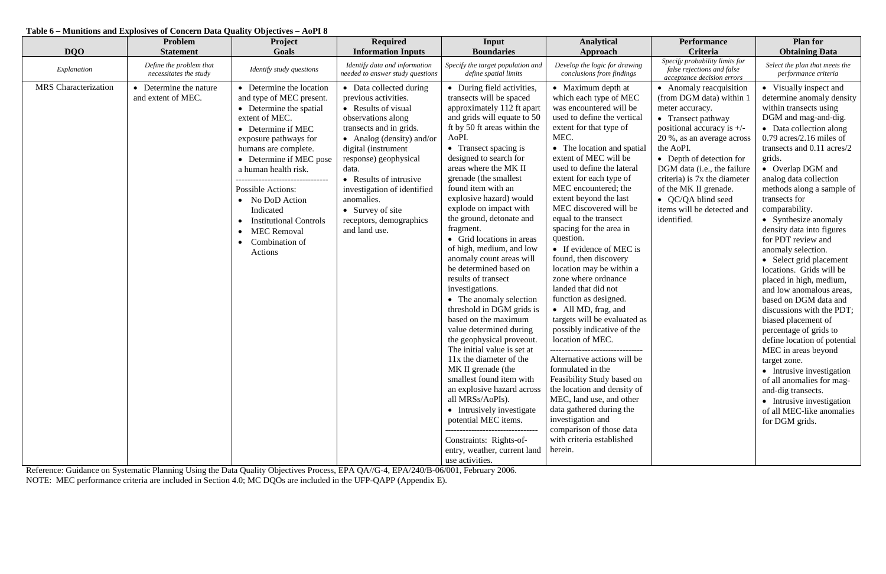## **Table 6 – Munitions and Explosives of Concern Data Quality Objectives – AoPI 8**

| <b>DQO</b>                  | Problem<br><b>Statement</b>                       | Project<br>Goals                                                                                                                                                                                                                                                                                                                                                                                                                          | <b>Required</b><br><b>Information Inputs</b>                                                                                                                                                                                                                                                                                                         | Input<br><b>Boundaries</b>                                                                                                                                                                                                                                                                                                                                                                                                                                                                                                                                                                                                                                                                                                                                                                                                                                                                                                                                                                                                   | <b>Analytical</b><br>Approach                                                                                                                                                                                                                                                                                                                                                                                                                                                                                                                                                                                                                                                                                                                                                                                                                                                                                                            | <b>Performance</b><br>Criteria                                                                                                                                                                                                                                                                                                                                 | <b>Plan for</b><br><b>Obtaining Data</b>                                                                                                                                                                                                                                                                                                                                                                                                                                                                                                                                                                                                                                                                                                                                                                                                                                       |
|-----------------------------|---------------------------------------------------|-------------------------------------------------------------------------------------------------------------------------------------------------------------------------------------------------------------------------------------------------------------------------------------------------------------------------------------------------------------------------------------------------------------------------------------------|------------------------------------------------------------------------------------------------------------------------------------------------------------------------------------------------------------------------------------------------------------------------------------------------------------------------------------------------------|------------------------------------------------------------------------------------------------------------------------------------------------------------------------------------------------------------------------------------------------------------------------------------------------------------------------------------------------------------------------------------------------------------------------------------------------------------------------------------------------------------------------------------------------------------------------------------------------------------------------------------------------------------------------------------------------------------------------------------------------------------------------------------------------------------------------------------------------------------------------------------------------------------------------------------------------------------------------------------------------------------------------------|------------------------------------------------------------------------------------------------------------------------------------------------------------------------------------------------------------------------------------------------------------------------------------------------------------------------------------------------------------------------------------------------------------------------------------------------------------------------------------------------------------------------------------------------------------------------------------------------------------------------------------------------------------------------------------------------------------------------------------------------------------------------------------------------------------------------------------------------------------------------------------------------------------------------------------------|----------------------------------------------------------------------------------------------------------------------------------------------------------------------------------------------------------------------------------------------------------------------------------------------------------------------------------------------------------------|--------------------------------------------------------------------------------------------------------------------------------------------------------------------------------------------------------------------------------------------------------------------------------------------------------------------------------------------------------------------------------------------------------------------------------------------------------------------------------------------------------------------------------------------------------------------------------------------------------------------------------------------------------------------------------------------------------------------------------------------------------------------------------------------------------------------------------------------------------------------------------|
| Explanation                 | Define the problem that<br>necessitates the study | Identify study questions                                                                                                                                                                                                                                                                                                                                                                                                                  | Identify data and information<br>needed to answer study questions                                                                                                                                                                                                                                                                                    | Specify the target population and<br>define spatial limits                                                                                                                                                                                                                                                                                                                                                                                                                                                                                                                                                                                                                                                                                                                                                                                                                                                                                                                                                                   | Develop the logic for drawing<br>conclusions from findings                                                                                                                                                                                                                                                                                                                                                                                                                                                                                                                                                                                                                                                                                                                                                                                                                                                                               | Specify probability limits for<br>false rejections and false<br>acceptance decision errors                                                                                                                                                                                                                                                                     | Select the plan that meets the<br>performance criteria                                                                                                                                                                                                                                                                                                                                                                                                                                                                                                                                                                                                                                                                                                                                                                                                                         |
| <b>MRS</b> Characterization | Determine the nature<br>and extent of MEC.        | • Determine the location<br>and type of MEC present.<br>• Determine the spatial<br>extent of MEC.<br>• Determine if MEC<br>exposure pathways for<br>humans are complete.<br>• Determine if MEC pose<br>a human health risk.<br>--------------------------------<br><b>Possible Actions:</b><br>• No DoD Action<br>Indicated<br><b>Institutional Controls</b><br><b>MEC Removal</b><br>$\bullet$<br>Combination of<br>$\bullet$<br>Actions | • Data collected during<br>previous activities.<br>• Results of visual<br>observations along<br>transects and in grids.<br>• Analog (density) and/or<br>digital (instrument<br>response) geophysical<br>data.<br>• Results of intrusive<br>investigation of identified<br>anomalies.<br>• Survey of site<br>receptors, demographics<br>and land use. | • During field activities,<br>transects will be spaced<br>approximately 112 ft apart<br>and grids will equate to 50<br>ft by 50 ft areas within the<br>AoPI.<br>• Transect spacing is<br>designed to search for<br>areas where the MK II<br>grenade (the smallest<br>found item with an<br>explosive hazard) would<br>explode on impact with<br>the ground, detonate and<br>fragment.<br>• Grid locations in areas<br>of high, medium, and low<br>anomaly count areas will<br>be determined based on<br>results of transect<br>investigations.<br>• The anomaly selection<br>threshold in DGM grids is<br>based on the maximum<br>value determined during<br>the geophysical proveout.<br>The initial value is set at<br>11x the diameter of the<br>MK II grenade (the<br>smallest found item with<br>an explosive hazard across<br>all MRSs/AoPIs).<br>• Intrusively investigate<br>potential MEC items.<br>---------------------------------<br>Constraints: Rights-of-<br>entry, weather, current land<br>use activities. | • Maximum depth at<br>which each type of MEC<br>was encountered will be<br>used to define the vertical<br>extent for that type of<br>MEC.<br>• The location and spatial<br>extent of MEC will be<br>used to define the lateral<br>extent for each type of<br>MEC encountered; the<br>extent beyond the last<br>MEC discovered will be<br>equal to the transect<br>spacing for the area in<br>question.<br>• If evidence of MEC is<br>found, then discovery<br>location may be within a<br>zone where ordnance<br>landed that did not<br>function as designed.<br>• All MD, frag, and<br>targets will be evaluated as<br>possibly indicative of the<br>location of MEC.<br>Alternative actions will be<br>formulated in the<br>Feasibility Study based on<br>the location and density of<br>MEC, land use, and other<br>data gathered during the<br>investigation and<br>comparison of those data<br>with criteria established<br>herein. | • Anomaly reacquisition<br>(from DGM data) within 1<br>meter accuracy.<br>• Transect pathway<br>positional accuracy is $+/-$<br>20 %, as an average across<br>the AoPI.<br>• Depth of detection for<br>DGM data (i.e., the failure<br>criteria) is 7x the diameter<br>of the MK II grenade.<br>• QC/QA blind seed<br>items will be detected and<br>identified. | • Visually inspect and<br>determine anomaly density<br>within transects using<br>DGM and mag-and-dig.<br>• Data collection along<br>$0.79$ acres/2.16 miles of<br>transects and 0.11 acres/2<br>grids.<br>• Overlap DGM and<br>analog data collection<br>methods along a sample of<br>transects for<br>comparability.<br>• Synthesize anomaly<br>density data into figures<br>for PDT review and<br>anomaly selection.<br>• Select grid placement<br>locations. Grids will be<br>placed in high, medium,<br>and low anomalous areas,<br>based on DGM data and<br>discussions with the PDT;<br>biased placement of<br>percentage of grids to<br>define location of potential<br>MEC in areas beyond<br>target zone.<br>• Intrusive investigation<br>of all anomalies for mag-<br>and-dig transects.<br>• Intrusive investigation<br>of all MEC-like anomalies<br>for DGM grids. |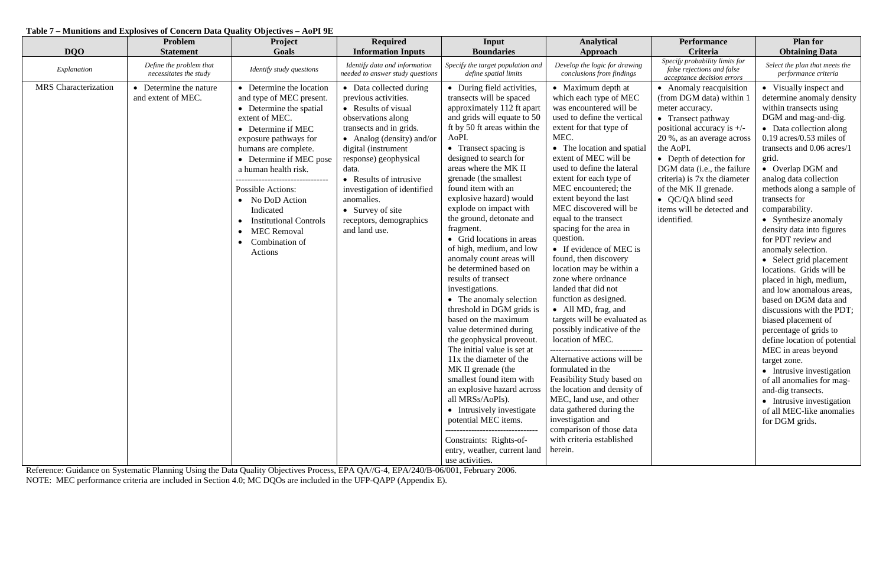## **Table 7 – Munitions and Explosives of Concern Data Quality Objectives – AoPI 9E**

| <b>DQO</b>                  | Problem<br><b>Statement</b>                       | <b>Project</b><br>Goals                                                                                                                                                                                                                                                                                                                                                                                 | <b>Required</b><br><b>Information Inputs</b>                                                                                                                                                                                                                                                                                                         | Input<br><b>Boundaries</b>                                                                                                                                                                                                                                                                                                                                                                                                                                                                                                                                                                                                                                                                                                                                                                                                                                                                                                                                                                                                   | <b>Analytical</b><br>Approach                                                                                                                                                                                                                                                                                                                                                                                                                                                                                                                                                                                                                                                                                                                                                                                                                                                                                                            | <b>Performance</b><br>Criteria                                                                                                                                                                                                                                                                                                                                 | <b>Plan for</b><br><b>Obtaining Data</b>                                                                                                                                                                                                                                                                                                                                                                                                                                                                                                                                                                                                                                                                                                                                                                                                                                         |
|-----------------------------|---------------------------------------------------|---------------------------------------------------------------------------------------------------------------------------------------------------------------------------------------------------------------------------------------------------------------------------------------------------------------------------------------------------------------------------------------------------------|------------------------------------------------------------------------------------------------------------------------------------------------------------------------------------------------------------------------------------------------------------------------------------------------------------------------------------------------------|------------------------------------------------------------------------------------------------------------------------------------------------------------------------------------------------------------------------------------------------------------------------------------------------------------------------------------------------------------------------------------------------------------------------------------------------------------------------------------------------------------------------------------------------------------------------------------------------------------------------------------------------------------------------------------------------------------------------------------------------------------------------------------------------------------------------------------------------------------------------------------------------------------------------------------------------------------------------------------------------------------------------------|------------------------------------------------------------------------------------------------------------------------------------------------------------------------------------------------------------------------------------------------------------------------------------------------------------------------------------------------------------------------------------------------------------------------------------------------------------------------------------------------------------------------------------------------------------------------------------------------------------------------------------------------------------------------------------------------------------------------------------------------------------------------------------------------------------------------------------------------------------------------------------------------------------------------------------------|----------------------------------------------------------------------------------------------------------------------------------------------------------------------------------------------------------------------------------------------------------------------------------------------------------------------------------------------------------------|----------------------------------------------------------------------------------------------------------------------------------------------------------------------------------------------------------------------------------------------------------------------------------------------------------------------------------------------------------------------------------------------------------------------------------------------------------------------------------------------------------------------------------------------------------------------------------------------------------------------------------------------------------------------------------------------------------------------------------------------------------------------------------------------------------------------------------------------------------------------------------|
| Explanation                 | Define the problem that<br>necessitates the study | Identify study questions                                                                                                                                                                                                                                                                                                                                                                                | Identify data and information<br>needed to answer study questions                                                                                                                                                                                                                                                                                    | Specify the target population and<br>define spatial limits                                                                                                                                                                                                                                                                                                                                                                                                                                                                                                                                                                                                                                                                                                                                                                                                                                                                                                                                                                   | Develop the logic for drawing<br>conclusions from findings                                                                                                                                                                                                                                                                                                                                                                                                                                                                                                                                                                                                                                                                                                                                                                                                                                                                               | Specify probability limits for<br>false rejections and false<br>acceptance decision errors                                                                                                                                                                                                                                                                     | Select the plan that meets the<br>performance criteria                                                                                                                                                                                                                                                                                                                                                                                                                                                                                                                                                                                                                                                                                                                                                                                                                           |
| <b>MRS</b> Characterization | Determine the nature<br>and extent of MEC.        | • Determine the location<br>and type of MEC present.<br>• Determine the spatial<br>extent of MEC.<br>• Determine if MEC<br>exposure pathways for<br>humans are complete.<br>• Determine if MEC pose<br>a human health risk.<br>-----------<br><b>Possible Actions:</b><br>• No DoD Action<br>Indicated<br><b>Institutional Controls</b><br><b>MEC</b> Removal<br>Combination of<br>$\bullet$<br>Actions | • Data collected during<br>previous activities.<br>• Results of visual<br>observations along<br>transects and in grids.<br>• Analog (density) and/or<br>digital (instrument<br>response) geophysical<br>data.<br>• Results of intrusive<br>investigation of identified<br>anomalies.<br>• Survey of site<br>receptors, demographics<br>and land use. | • During field activities,<br>transects will be spaced<br>approximately 112 ft apart<br>and grids will equate to 50<br>ft by 50 ft areas within the<br>AoPI.<br>• Transect spacing is<br>designed to search for<br>areas where the MK II<br>grenade (the smallest<br>found item with an<br>explosive hazard) would<br>explode on impact with<br>the ground, detonate and<br>fragment.<br>• Grid locations in areas<br>of high, medium, and low<br>anomaly count areas will<br>be determined based on<br>results of transect<br>investigations.<br>• The anomaly selection<br>threshold in DGM grids is<br>based on the maximum<br>value determined during<br>the geophysical proveout.<br>The initial value is set at<br>11x the diameter of the<br>MK II grenade (the<br>smallest found item with<br>an explosive hazard across<br>all MRSs/AoPIs).<br>• Intrusively investigate<br>potential MEC items.<br>---------------------------------<br>Constraints: Rights-of-<br>entry, weather, current land<br>use activities. | • Maximum depth at<br>which each type of MEC<br>was encountered will be<br>used to define the vertical<br>extent for that type of<br>MEC.<br>• The location and spatial<br>extent of MEC will be<br>used to define the lateral<br>extent for each type of<br>MEC encountered; the<br>extent beyond the last<br>MEC discovered will be<br>equal to the transect<br>spacing for the area in<br>question.<br>• If evidence of MEC is<br>found, then discovery<br>location may be within a<br>zone where ordnance<br>landed that did not<br>function as designed.<br>• All MD, frag, and<br>targets will be evaluated as<br>possibly indicative of the<br>location of MEC.<br>Alternative actions will be<br>formulated in the<br>Feasibility Study based on<br>the location and density of<br>MEC, land use, and other<br>data gathered during the<br>investigation and<br>comparison of those data<br>with criteria established<br>herein. | • Anomaly reacquisition<br>(from DGM data) within 1<br>meter accuracy.<br>• Transect pathway<br>positional accuracy is $+/-$<br>20 %, as an average across<br>the AoPI.<br>• Depth of detection for<br>DGM data (i.e., the failure<br>criteria) is 7x the diameter<br>of the MK II grenade.<br>• QC/QA blind seed<br>items will be detected and<br>identified. | • Visually inspect and<br>determine anomaly density<br>within transects using<br>DGM and mag-and-dig.<br>• Data collection along<br>$0.19$ acres/ $0.53$ miles of<br>transects and 0.06 acres/1<br>grid.<br>• Overlap DGM and<br>analog data collection<br>methods along a sample of<br>transects for<br>comparability.<br>• Synthesize anomaly<br>density data into figures<br>for PDT review and<br>anomaly selection.<br>• Select grid placement<br>locations. Grids will be<br>placed in high, medium,<br>and low anomalous areas,<br>based on DGM data and<br>discussions with the PDT;<br>biased placement of<br>percentage of grids to<br>define location of potential<br>MEC in areas beyond<br>target zone.<br>• Intrusive investigation<br>of all anomalies for mag-<br>and-dig transects.<br>• Intrusive investigation<br>of all MEC-like anomalies<br>for DGM grids. |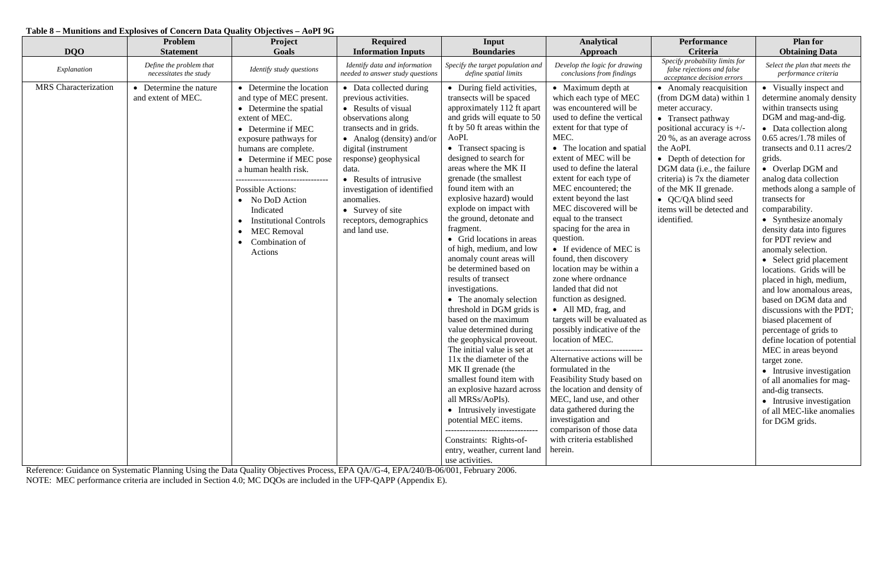### **Table 8 – Munitions and Explosives of Concern Data Quality Objectives – AoPI 9G**

| <b>DQO</b>                  | Problem<br><b>Statement</b>                       | Project<br>Goals                                                                                                                                                                                                                                                                                                                                                                                        | <b>Required</b><br><b>Information Inputs</b>                                                                                                                                                                                                                                                                                                         | Input<br><b>Boundaries</b>                                                                                                                                                                                                                                                                                                                                                                                                                                                                                                                                                                                                                                                                                                                                                                                                                                                                                                                                                                                                   | <b>Analytical</b><br>Approach                                                                                                                                                                                                                                                                                                                                                                                                                                                                                                                                                                                                                                                                                                                                                                                                                                                                                                            | <b>Performance</b><br>Criteria                                                                                                                                                                                                                                                                                                                                 | <b>Plan for</b><br><b>Obtaining Data</b>                                                                                                                                                                                                                                                                                                                                                                                                                                                                                                                                                                                                                                                                                                                                                                                                                                       |
|-----------------------------|---------------------------------------------------|---------------------------------------------------------------------------------------------------------------------------------------------------------------------------------------------------------------------------------------------------------------------------------------------------------------------------------------------------------------------------------------------------------|------------------------------------------------------------------------------------------------------------------------------------------------------------------------------------------------------------------------------------------------------------------------------------------------------------------------------------------------------|------------------------------------------------------------------------------------------------------------------------------------------------------------------------------------------------------------------------------------------------------------------------------------------------------------------------------------------------------------------------------------------------------------------------------------------------------------------------------------------------------------------------------------------------------------------------------------------------------------------------------------------------------------------------------------------------------------------------------------------------------------------------------------------------------------------------------------------------------------------------------------------------------------------------------------------------------------------------------------------------------------------------------|------------------------------------------------------------------------------------------------------------------------------------------------------------------------------------------------------------------------------------------------------------------------------------------------------------------------------------------------------------------------------------------------------------------------------------------------------------------------------------------------------------------------------------------------------------------------------------------------------------------------------------------------------------------------------------------------------------------------------------------------------------------------------------------------------------------------------------------------------------------------------------------------------------------------------------------|----------------------------------------------------------------------------------------------------------------------------------------------------------------------------------------------------------------------------------------------------------------------------------------------------------------------------------------------------------------|--------------------------------------------------------------------------------------------------------------------------------------------------------------------------------------------------------------------------------------------------------------------------------------------------------------------------------------------------------------------------------------------------------------------------------------------------------------------------------------------------------------------------------------------------------------------------------------------------------------------------------------------------------------------------------------------------------------------------------------------------------------------------------------------------------------------------------------------------------------------------------|
| Explanation                 | Define the problem that<br>necessitates the study | Identify study questions                                                                                                                                                                                                                                                                                                                                                                                | Identify data and information<br>needed to answer study questions                                                                                                                                                                                                                                                                                    | Specify the target population and<br>define spatial limits                                                                                                                                                                                                                                                                                                                                                                                                                                                                                                                                                                                                                                                                                                                                                                                                                                                                                                                                                                   | Develop the logic for drawing<br>conclusions from findings                                                                                                                                                                                                                                                                                                                                                                                                                                                                                                                                                                                                                                                                                                                                                                                                                                                                               | Specify probability limits for<br>false rejections and false<br>acceptance decision errors                                                                                                                                                                                                                                                                     | Select the plan that meets the<br>performance criteria                                                                                                                                                                                                                                                                                                                                                                                                                                                                                                                                                                                                                                                                                                                                                                                                                         |
| <b>MRS</b> Characterization | Determine the nature<br>and extent of MEC.        | • Determine the location<br>and type of MEC present.<br>• Determine the spatial<br>extent of MEC.<br>• Determine if MEC<br>exposure pathways for<br>humans are complete.<br>• Determine if MEC pose<br>a human health risk.<br>-----------<br><b>Possible Actions:</b><br>• No DoD Action<br>Indicated<br><b>Institutional Controls</b><br><b>MEC</b> Removal<br>Combination of<br>$\bullet$<br>Actions | • Data collected during<br>previous activities.<br>• Results of visual<br>observations along<br>transects and in grids.<br>• Analog (density) and/or<br>digital (instrument<br>response) geophysical<br>data.<br>• Results of intrusive<br>investigation of identified<br>anomalies.<br>• Survey of site<br>receptors, demographics<br>and land use. | • During field activities,<br>transects will be spaced<br>approximately 112 ft apart<br>and grids will equate to 50<br>ft by 50 ft areas within the<br>AoPI.<br>• Transect spacing is<br>designed to search for<br>areas where the MK II<br>grenade (the smallest<br>found item with an<br>explosive hazard) would<br>explode on impact with<br>the ground, detonate and<br>fragment.<br>• Grid locations in areas<br>of high, medium, and low<br>anomaly count areas will<br>be determined based on<br>results of transect<br>investigations.<br>• The anomaly selection<br>threshold in DGM grids is<br>based on the maximum<br>value determined during<br>the geophysical proveout.<br>The initial value is set at<br>11x the diameter of the<br>MK II grenade (the<br>smallest found item with<br>an explosive hazard across<br>all MRSs/AoPIs).<br>• Intrusively investigate<br>potential MEC items.<br>---------------------------------<br>Constraints: Rights-of-<br>entry, weather, current land<br>use activities. | • Maximum depth at<br>which each type of MEC<br>was encountered will be<br>used to define the vertical<br>extent for that type of<br>MEC.<br>• The location and spatial<br>extent of MEC will be<br>used to define the lateral<br>extent for each type of<br>MEC encountered; the<br>extent beyond the last<br>MEC discovered will be<br>equal to the transect<br>spacing for the area in<br>question.<br>• If evidence of MEC is<br>found, then discovery<br>location may be within a<br>zone where ordnance<br>landed that did not<br>function as designed.<br>• All MD, frag, and<br>targets will be evaluated as<br>possibly indicative of the<br>location of MEC.<br>Alternative actions will be<br>formulated in the<br>Feasibility Study based on<br>the location and density of<br>MEC, land use, and other<br>data gathered during the<br>investigation and<br>comparison of those data<br>with criteria established<br>herein. | • Anomaly reacquisition<br>(from DGM data) within 1<br>meter accuracy.<br>• Transect pathway<br>positional accuracy is $+/-$<br>20 %, as an average across<br>the AoPI.<br>• Depth of detection for<br>DGM data (i.e., the failure<br>criteria) is 7x the diameter<br>of the MK II grenade.<br>• QC/QA blind seed<br>items will be detected and<br>identified. | • Visually inspect and<br>determine anomaly density<br>within transects using<br>DGM and mag-and-dig.<br>• Data collection along<br>$0.65$ acres/1.78 miles of<br>transects and 0.11 acres/2<br>grids.<br>• Overlap DGM and<br>analog data collection<br>methods along a sample of<br>transects for<br>comparability.<br>• Synthesize anomaly<br>density data into figures<br>for PDT review and<br>anomaly selection.<br>• Select grid placement<br>locations. Grids will be<br>placed in high, medium,<br>and low anomalous areas,<br>based on DGM data and<br>discussions with the PDT;<br>biased placement of<br>percentage of grids to<br>define location of potential<br>MEC in areas beyond<br>target zone.<br>• Intrusive investigation<br>of all anomalies for mag-<br>and-dig transects.<br>• Intrusive investigation<br>of all MEC-like anomalies<br>for DGM grids. |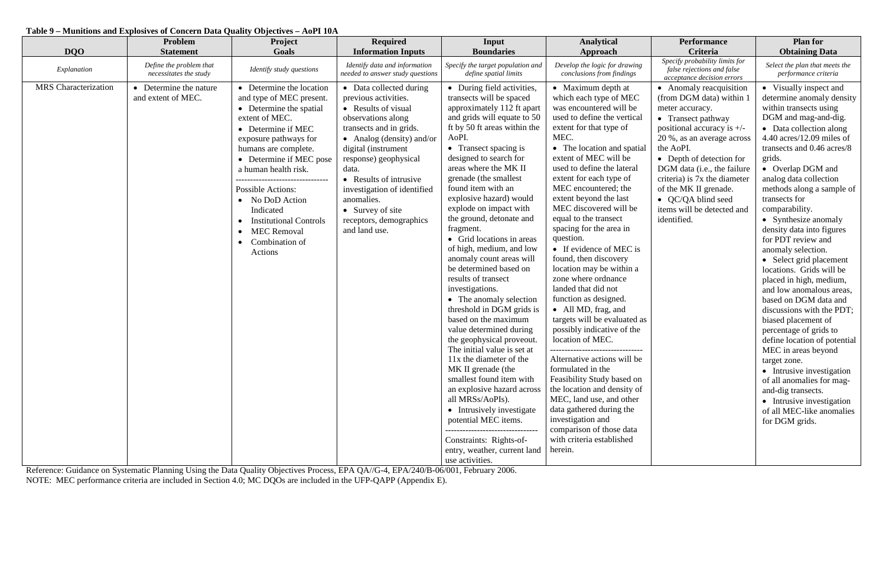## **Table 9 – Munitions and Explosives of Concern Data Quality Objectives – AoPI 10A**

| <b>DQO</b>                  | Problem<br><b>Statement</b>                       | Project<br>Goals                                                                                                                                                                                                                                                                                                                                                                                                            | <b>Required</b><br><b>Information Inputs</b>                                                                                                                                                                                                                                                                                                         | Input<br><b>Boundaries</b>                                                                                                                                                                                                                                                                                                                                                                                                                                                                                                                                                                                                                                                                                                                                                                                                                                                                                                                                                              | <b>Analytical</b><br>Approach                                                                                                                                                                                                                                                                                                                                                                                                                                                                                                                                                                                                                                                                                                                                                                                                                                                                                                                                                 | <b>Performance</b><br>Criteria                                                                                                                                                                                                                                                                                                                                 | <b>Plan for</b><br><b>Obtaining Data</b>                                                                                                                                                                                                                                                                                                                                                                                                                                                                                                                                                                                                                                                                                                                                                                                                                                        |
|-----------------------------|---------------------------------------------------|-----------------------------------------------------------------------------------------------------------------------------------------------------------------------------------------------------------------------------------------------------------------------------------------------------------------------------------------------------------------------------------------------------------------------------|------------------------------------------------------------------------------------------------------------------------------------------------------------------------------------------------------------------------------------------------------------------------------------------------------------------------------------------------------|-----------------------------------------------------------------------------------------------------------------------------------------------------------------------------------------------------------------------------------------------------------------------------------------------------------------------------------------------------------------------------------------------------------------------------------------------------------------------------------------------------------------------------------------------------------------------------------------------------------------------------------------------------------------------------------------------------------------------------------------------------------------------------------------------------------------------------------------------------------------------------------------------------------------------------------------------------------------------------------------|-------------------------------------------------------------------------------------------------------------------------------------------------------------------------------------------------------------------------------------------------------------------------------------------------------------------------------------------------------------------------------------------------------------------------------------------------------------------------------------------------------------------------------------------------------------------------------------------------------------------------------------------------------------------------------------------------------------------------------------------------------------------------------------------------------------------------------------------------------------------------------------------------------------------------------------------------------------------------------|----------------------------------------------------------------------------------------------------------------------------------------------------------------------------------------------------------------------------------------------------------------------------------------------------------------------------------------------------------------|---------------------------------------------------------------------------------------------------------------------------------------------------------------------------------------------------------------------------------------------------------------------------------------------------------------------------------------------------------------------------------------------------------------------------------------------------------------------------------------------------------------------------------------------------------------------------------------------------------------------------------------------------------------------------------------------------------------------------------------------------------------------------------------------------------------------------------------------------------------------------------|
| Explanation                 | Define the problem that<br>necessitates the study | Identify study questions                                                                                                                                                                                                                                                                                                                                                                                                    | Identify data and information<br>needed to answer study questions                                                                                                                                                                                                                                                                                    | Specify the target population and<br>define spatial limits                                                                                                                                                                                                                                                                                                                                                                                                                                                                                                                                                                                                                                                                                                                                                                                                                                                                                                                              | Develop the logic for drawing<br>conclusions from findings                                                                                                                                                                                                                                                                                                                                                                                                                                                                                                                                                                                                                                                                                                                                                                                                                                                                                                                    | Specify probability limits for<br>false rejections and false<br>acceptance decision errors                                                                                                                                                                                                                                                                     | Select the plan that meets the<br>performance criteria                                                                                                                                                                                                                                                                                                                                                                                                                                                                                                                                                                                                                                                                                                                                                                                                                          |
| <b>MRS</b> Characterization | Determine the nature<br>and extent of MEC.        | • Determine the location<br>and type of MEC present.<br>• Determine the spatial<br>extent of MEC.<br>• Determine if MEC<br>exposure pathways for<br>humans are complete.<br>• Determine if MEC pose<br>a human health risk.<br>---------------------------------<br><b>Possible Actions:</b><br>No DoD Action<br>Indicated<br><b>Institutional Controls</b><br><b>MEC Removal</b><br>Combination of<br>$\bullet$<br>Actions | • Data collected during<br>previous activities.<br>• Results of visual<br>observations along<br>transects and in grids.<br>• Analog (density) and/or<br>digital (instrument<br>response) geophysical<br>data.<br>• Results of intrusive<br>investigation of identified<br>anomalies.<br>• Survey of site<br>receptors, demographics<br>and land use. | • During field activities,<br>transects will be spaced<br>approximately 112 ft apart<br>and grids will equate to 50<br>ft by 50 ft areas within the<br>AoPI.<br>• Transect spacing is<br>designed to search for<br>areas where the MK II<br>grenade (the smallest<br>found item with an<br>explosive hazard) would<br>explode on impact with<br>the ground, detonate and<br>fragment.<br>• Grid locations in areas<br>of high, medium, and low<br>anomaly count areas will<br>be determined based on<br>results of transect<br>investigations.<br>• The anomaly selection<br>threshold in DGM grids is<br>based on the maximum<br>value determined during<br>the geophysical proveout.<br>The initial value is set at<br>11x the diameter of the<br>MK II grenade (the<br>smallest found item with<br>an explosive hazard across<br>all MRSs/AoPIs).<br>• Intrusively investigate<br>potential MEC items.<br>Constraints: Rights-of-<br>entry, weather, current land<br>use activities. | • Maximum depth at<br>which each type of MEC<br>was encountered will be<br>used to define the vertical<br>extent for that type of<br>MEC.<br>• The location and spatial<br>extent of MEC will be<br>used to define the lateral<br>extent for each type of<br>MEC encountered; the<br>extent beyond the last<br>MEC discovered will be<br>equal to the transect<br>spacing for the area in<br>question.<br>• If evidence of MEC is<br>found, then discovery<br>location may be within a<br>zone where ordnance<br>landed that did not<br>function as designed.<br>• All MD, frag, and<br>targets will be evaluated as<br>possibly indicative of the<br>location of MEC.<br>---------------------------------<br>Alternative actions will be<br>formulated in the<br>Feasibility Study based on<br>the location and density of<br>MEC, land use, and other<br>data gathered during the<br>investigation and<br>comparison of those data<br>with criteria established<br>herein. | • Anomaly reacquisition<br>(from DGM data) within 1<br>meter accuracy.<br>• Transect pathway<br>positional accuracy is $+/-$<br>20 %, as an average across<br>the AoPI.<br>• Depth of detection for<br>DGM data (i.e., the failure<br>criteria) is 7x the diameter<br>of the MK II grenade.<br>• QC/QA blind seed<br>items will be detected and<br>identified. | • Visually inspect and<br>determine anomaly density<br>within transects using<br>DGM and mag-and-dig.<br>• Data collection along<br>$4.40$ acres/12.09 miles of<br>transects and 0.46 acres/8<br>grids.<br>• Overlap DGM and<br>analog data collection<br>methods along a sample of<br>transects for<br>comparability.<br>• Synthesize anomaly<br>density data into figures<br>for PDT review and<br>anomaly selection.<br>• Select grid placement<br>locations. Grids will be<br>placed in high, medium,<br>and low anomalous areas,<br>based on DGM data and<br>discussions with the PDT;<br>biased placement of<br>percentage of grids to<br>define location of potential<br>MEC in areas beyond<br>target zone.<br>• Intrusive investigation<br>of all anomalies for mag-<br>and-dig transects.<br>• Intrusive investigation<br>of all MEC-like anomalies<br>for DGM grids. |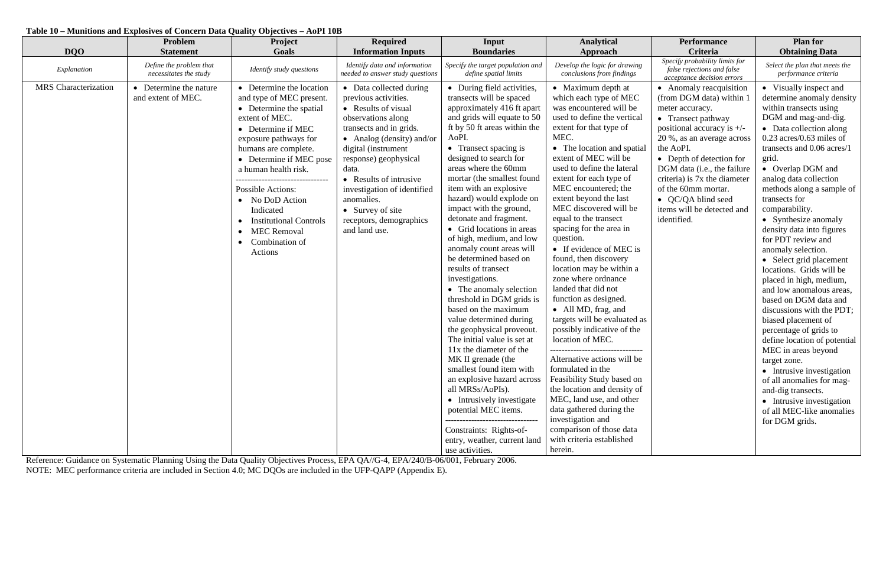#### **Table 10 – Munitions and Explosives of Concern Data Quality Objectives – AoPI 10B**

| <b>DQO</b>                  | Problem<br><b>Statement</b>                       | Project<br>Goals                                                                                                                                                                                                                                                                                                                                                                                              | <b>Required</b><br><b>Information Inputs</b>                                                                                                                                                                                                                                                                                                         | Input<br><b>Boundaries</b>                                                                                                                                                                                                                                                                                                                                                                                                                                                                                                                                                                                                                                                                                                                                                                                                                                                                                                                                                         | <b>Analytical</b><br>Approach                                                                                                                                                                                                                                                                                                                                                                                                                                                                                                                                                                                                                                                                                                                                                                                                                                                                                                            | <b>Performance</b><br><b>Criteria</b>                                                                                                                                                                                                                                                                                                                        | <b>Plan for</b><br><b>Obtaining Data</b>                                                                                                                                                                                                                                                                                                                                                                                                                                                                                                                                                                                                                                                                                                                                                                                                                                      |
|-----------------------------|---------------------------------------------------|---------------------------------------------------------------------------------------------------------------------------------------------------------------------------------------------------------------------------------------------------------------------------------------------------------------------------------------------------------------------------------------------------------------|------------------------------------------------------------------------------------------------------------------------------------------------------------------------------------------------------------------------------------------------------------------------------------------------------------------------------------------------------|------------------------------------------------------------------------------------------------------------------------------------------------------------------------------------------------------------------------------------------------------------------------------------------------------------------------------------------------------------------------------------------------------------------------------------------------------------------------------------------------------------------------------------------------------------------------------------------------------------------------------------------------------------------------------------------------------------------------------------------------------------------------------------------------------------------------------------------------------------------------------------------------------------------------------------------------------------------------------------|------------------------------------------------------------------------------------------------------------------------------------------------------------------------------------------------------------------------------------------------------------------------------------------------------------------------------------------------------------------------------------------------------------------------------------------------------------------------------------------------------------------------------------------------------------------------------------------------------------------------------------------------------------------------------------------------------------------------------------------------------------------------------------------------------------------------------------------------------------------------------------------------------------------------------------------|--------------------------------------------------------------------------------------------------------------------------------------------------------------------------------------------------------------------------------------------------------------------------------------------------------------------------------------------------------------|-------------------------------------------------------------------------------------------------------------------------------------------------------------------------------------------------------------------------------------------------------------------------------------------------------------------------------------------------------------------------------------------------------------------------------------------------------------------------------------------------------------------------------------------------------------------------------------------------------------------------------------------------------------------------------------------------------------------------------------------------------------------------------------------------------------------------------------------------------------------------------|
| Explanation                 | Define the problem that<br>necessitates the study | Identify study questions                                                                                                                                                                                                                                                                                                                                                                                      | Identify data and information<br>needed to answer study questions                                                                                                                                                                                                                                                                                    | Specify the target population and<br>define spatial limits                                                                                                                                                                                                                                                                                                                                                                                                                                                                                                                                                                                                                                                                                                                                                                                                                                                                                                                         | Develop the logic for drawing<br>conclusions from findings                                                                                                                                                                                                                                                                                                                                                                                                                                                                                                                                                                                                                                                                                                                                                                                                                                                                               | Specify probability limits for<br>false rejections and false<br>acceptance decision errors                                                                                                                                                                                                                                                                   | Select the plan that meets the<br>performance criteria                                                                                                                                                                                                                                                                                                                                                                                                                                                                                                                                                                                                                                                                                                                                                                                                                        |
| <b>MRS</b> Characterization | Determine the nature<br>and extent of MEC.        | • Determine the location<br>and type of MEC present.<br>• Determine the spatial<br>extent of MEC.<br>• Determine if MEC<br>exposure pathways for<br>humans are complete.<br>• Determine if MEC pose<br>a human health risk.<br>--------------------------------<br><b>Possible Actions:</b><br>No DoD Action<br>Indicated<br><b>Institutional Controls</b><br><b>MEC</b> Removal<br>Combination of<br>Actions | • Data collected during<br>previous activities.<br>• Results of visual<br>observations along<br>transects and in grids.<br>• Analog (density) and/or<br>digital (instrument<br>response) geophysical<br>data.<br>• Results of intrusive<br>investigation of identified<br>anomalies.<br>• Survey of site<br>receptors, demographics<br>and land use. | • During field activities,<br>transects will be spaced<br>approximately 416 ft apart<br>and grids will equate to 50<br>ft by 50 ft areas within the<br>AoPI.<br>• Transect spacing is<br>designed to search for<br>areas where the 60mm<br>mortar (the smallest found<br>item with an explosive<br>hazard) would explode on<br>impact with the ground,<br>detonate and fragment.<br>• Grid locations in areas<br>of high, medium, and low<br>anomaly count areas will<br>be determined based on<br>results of transect<br>investigations.<br>• The anomaly selection<br>threshold in DGM grids is<br>based on the maximum<br>value determined during<br>the geophysical proveout.<br>The initial value is set at<br>11x the diameter of the<br>MK II grenade (the<br>smallest found item with<br>an explosive hazard across<br>all MRSs/AoPIs).<br>• Intrusively investigate<br>potential MEC items.<br>Constraints: Rights-of-<br>entry, weather, current land<br>use activities. | • Maximum depth at<br>which each type of MEC<br>was encountered will be<br>used to define the vertical<br>extent for that type of<br>MEC.<br>• The location and spatial<br>extent of MEC will be<br>used to define the lateral<br>extent for each type of<br>MEC encountered; the<br>extent beyond the last<br>MEC discovered will be<br>equal to the transect<br>spacing for the area in<br>question.<br>• If evidence of MEC is<br>found, then discovery<br>location may be within a<br>zone where ordnance<br>landed that did not<br>function as designed.<br>• All MD, frag, and<br>targets will be evaluated as<br>possibly indicative of the<br>location of MEC.<br>Alternative actions will be<br>formulated in the<br>Feasibility Study based on<br>the location and density of<br>MEC, land use, and other<br>data gathered during the<br>investigation and<br>comparison of those data<br>with criteria established<br>herein. | • Anomaly reacquisition<br>(from DGM data) within 1<br>meter accuracy.<br>• Transect pathway<br>positional accuracy is $+/-$<br>20 %, as an average across<br>the AoPI.<br>• Depth of detection for<br>DGM data (i.e., the failure<br>criteria) is 7x the diameter<br>of the 60mm mortar.<br>• QC/QA blind seed<br>items will be detected and<br>identified. | • Visually inspect and<br>determine anomaly density<br>within transects using<br>DGM and mag-and-dig.<br>• Data collection along<br>$0.23$ acres/0.63 miles of<br>transects and 0.06 acres/1<br>grid.<br>• Overlap DGM and<br>analog data collection<br>methods along a sample of<br>transects for<br>comparability.<br>• Synthesize anomaly<br>density data into figures<br>for PDT review and<br>anomaly selection.<br>• Select grid placement<br>locations. Grids will be<br>placed in high, medium,<br>and low anomalous areas,<br>based on DGM data and<br>discussions with the PDT;<br>biased placement of<br>percentage of grids to<br>define location of potential<br>MEC in areas beyond<br>target zone.<br>• Intrusive investigation<br>of all anomalies for mag-<br>and-dig transects.<br>• Intrusive investigation<br>of all MEC-like anomalies<br>for DGM grids. |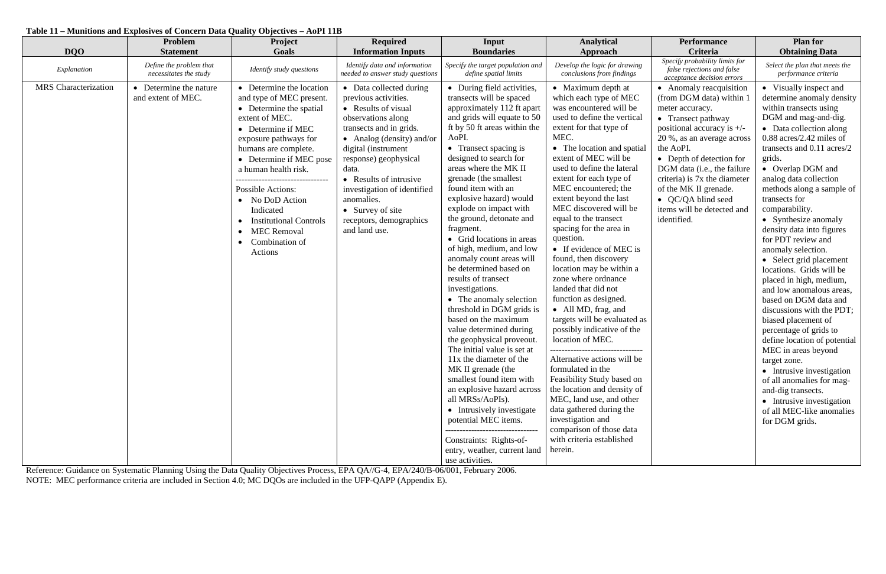### **Table 11 – Munitions and Explosives of Concern Data Quality Objectives – AoPI 11B**

| <b>DQO</b>                  | Problem<br><b>Statement</b>                       | Project<br>Goals                                                                                                                                                                                                                                                                                                                                                                                                                          | <b>Required</b><br><b>Information Inputs</b>                                                                                                                                                                                                                                                                                                         | Input<br><b>Boundaries</b>                                                                                                                                                                                                                                                                                                                                                                                                                                                                                                                                                                                                                                                                                                                                                                                                                                                                                                                                                                                                   | <b>Analytical</b><br>Approach                                                                                                                                                                                                                                                                                                                                                                                                                                                                                                                                                                                                                                                                                                                                                                                                                                                                                                            | <b>Performance</b><br>Criteria                                                                                                                                                                                                                                                                                                                                 | <b>Plan for</b><br><b>Obtaining Data</b>                                                                                                                                                                                                                                                                                                                                                                                                                                                                                                                                                                                                                                                                                                                                                                                                                                       |
|-----------------------------|---------------------------------------------------|-------------------------------------------------------------------------------------------------------------------------------------------------------------------------------------------------------------------------------------------------------------------------------------------------------------------------------------------------------------------------------------------------------------------------------------------|------------------------------------------------------------------------------------------------------------------------------------------------------------------------------------------------------------------------------------------------------------------------------------------------------------------------------------------------------|------------------------------------------------------------------------------------------------------------------------------------------------------------------------------------------------------------------------------------------------------------------------------------------------------------------------------------------------------------------------------------------------------------------------------------------------------------------------------------------------------------------------------------------------------------------------------------------------------------------------------------------------------------------------------------------------------------------------------------------------------------------------------------------------------------------------------------------------------------------------------------------------------------------------------------------------------------------------------------------------------------------------------|------------------------------------------------------------------------------------------------------------------------------------------------------------------------------------------------------------------------------------------------------------------------------------------------------------------------------------------------------------------------------------------------------------------------------------------------------------------------------------------------------------------------------------------------------------------------------------------------------------------------------------------------------------------------------------------------------------------------------------------------------------------------------------------------------------------------------------------------------------------------------------------------------------------------------------------|----------------------------------------------------------------------------------------------------------------------------------------------------------------------------------------------------------------------------------------------------------------------------------------------------------------------------------------------------------------|--------------------------------------------------------------------------------------------------------------------------------------------------------------------------------------------------------------------------------------------------------------------------------------------------------------------------------------------------------------------------------------------------------------------------------------------------------------------------------------------------------------------------------------------------------------------------------------------------------------------------------------------------------------------------------------------------------------------------------------------------------------------------------------------------------------------------------------------------------------------------------|
| Explanation                 | Define the problem that<br>necessitates the study | Identify study questions                                                                                                                                                                                                                                                                                                                                                                                                                  | Identify data and information<br>needed to answer study questions                                                                                                                                                                                                                                                                                    | Specify the target population and<br>define spatial limits                                                                                                                                                                                                                                                                                                                                                                                                                                                                                                                                                                                                                                                                                                                                                                                                                                                                                                                                                                   | Develop the logic for drawing<br>conclusions from findings                                                                                                                                                                                                                                                                                                                                                                                                                                                                                                                                                                                                                                                                                                                                                                                                                                                                               | Specify probability limits for<br>false rejections and false<br>acceptance decision errors                                                                                                                                                                                                                                                                     | Select the plan that meets the<br>performance criteria                                                                                                                                                                                                                                                                                                                                                                                                                                                                                                                                                                                                                                                                                                                                                                                                                         |
| <b>MRS</b> Characterization | Determine the nature<br>and extent of MEC.        | • Determine the location<br>and type of MEC present.<br>• Determine the spatial<br>extent of MEC.<br>• Determine if MEC<br>exposure pathways for<br>humans are complete.<br>• Determine if MEC pose<br>a human health risk.<br>--------------------------------<br><b>Possible Actions:</b><br>• No DoD Action<br>Indicated<br><b>Institutional Controls</b><br><b>MEC Removal</b><br>$\bullet$<br>Combination of<br>$\bullet$<br>Actions | • Data collected during<br>previous activities.<br>• Results of visual<br>observations along<br>transects and in grids.<br>• Analog (density) and/or<br>digital (instrument<br>response) geophysical<br>data.<br>• Results of intrusive<br>investigation of identified<br>anomalies.<br>• Survey of site<br>receptors, demographics<br>and land use. | • During field activities,<br>transects will be spaced<br>approximately 112 ft apart<br>and grids will equate to 50<br>ft by 50 ft areas within the<br>AoPI.<br>• Transect spacing is<br>designed to search for<br>areas where the MK II<br>grenade (the smallest<br>found item with an<br>explosive hazard) would<br>explode on impact with<br>the ground, detonate and<br>fragment.<br>• Grid locations in areas<br>of high, medium, and low<br>anomaly count areas will<br>be determined based on<br>results of transect<br>investigations.<br>• The anomaly selection<br>threshold in DGM grids is<br>based on the maximum<br>value determined during<br>the geophysical proveout.<br>The initial value is set at<br>11x the diameter of the<br>MK II grenade (the<br>smallest found item with<br>an explosive hazard across<br>all MRSs/AoPIs).<br>• Intrusively investigate<br>potential MEC items.<br>---------------------------------<br>Constraints: Rights-of-<br>entry, weather, current land<br>use activities. | • Maximum depth at<br>which each type of MEC<br>was encountered will be<br>used to define the vertical<br>extent for that type of<br>MEC.<br>• The location and spatial<br>extent of MEC will be<br>used to define the lateral<br>extent for each type of<br>MEC encountered; the<br>extent beyond the last<br>MEC discovered will be<br>equal to the transect<br>spacing for the area in<br>question.<br>• If evidence of MEC is<br>found, then discovery<br>location may be within a<br>zone where ordnance<br>landed that did not<br>function as designed.<br>• All MD, frag, and<br>targets will be evaluated as<br>possibly indicative of the<br>location of MEC.<br>Alternative actions will be<br>formulated in the<br>Feasibility Study based on<br>the location and density of<br>MEC, land use, and other<br>data gathered during the<br>investigation and<br>comparison of those data<br>with criteria established<br>herein. | • Anomaly reacquisition<br>(from DGM data) within 1<br>meter accuracy.<br>• Transect pathway<br>positional accuracy is $+/-$<br>20 %, as an average across<br>the AoPI.<br>• Depth of detection for<br>DGM data (i.e., the failure<br>criteria) is 7x the diameter<br>of the MK II grenade.<br>• QC/QA blind seed<br>items will be detected and<br>identified. | • Visually inspect and<br>determine anomaly density<br>within transects using<br>DGM and mag-and-dig.<br>• Data collection along<br>$0.88$ acres/2.42 miles of<br>transects and 0.11 acres/2<br>grids.<br>• Overlap DGM and<br>analog data collection<br>methods along a sample of<br>transects for<br>comparability.<br>• Synthesize anomaly<br>density data into figures<br>for PDT review and<br>anomaly selection.<br>• Select grid placement<br>locations. Grids will be<br>placed in high, medium,<br>and low anomalous areas,<br>based on DGM data and<br>discussions with the PDT;<br>biased placement of<br>percentage of grids to<br>define location of potential<br>MEC in areas beyond<br>target zone.<br>• Intrusive investigation<br>of all anomalies for mag-<br>and-dig transects.<br>• Intrusive investigation<br>of all MEC-like anomalies<br>for DGM grids. |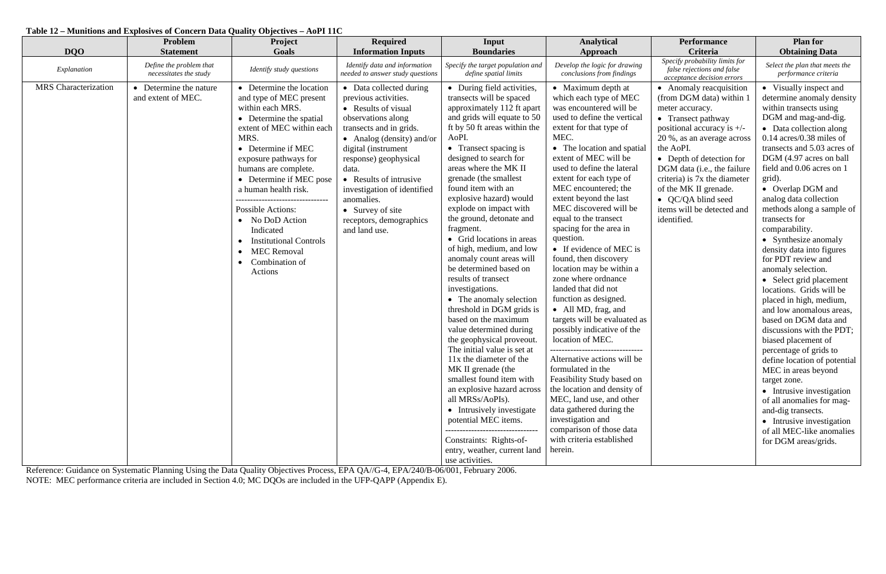# **Table 12 – Munitions and Explosives of Concern Data Quality Objectives – AoPI 11C**

| <b>DQO</b>                  | Problem<br><b>Statement</b>                       | Project<br>Goals                                                                                                                                                                                                                                                                                                                                                                                                        | <b>Required</b><br><b>Information Inputs</b>                                                                                                                                                                                                                                                                                                         | Input<br><b>Boundaries</b>                                                                                                                                                                                                                                                                                                                                                                                                                                                                                                                                                                                                                                                                                                                                                                                                                                                                                                                                                               | <b>Analytical</b><br>Approach                                                                                                                                                                                                                                                                                                                                                                                                                                                                                                                                                                                                                                                                                                                                                                                                                                                                                                            | <b>Performance</b><br>Criteria                                                                                                                                                                                                                                                                                                                                 | <b>Plan for</b><br><b>Obtaining Data</b>                                                                                                                                                                                                                                                                                                                                                                                                                                                                                                                                                                                                                                                                                                                                                                                                                                                                                                      |
|-----------------------------|---------------------------------------------------|-------------------------------------------------------------------------------------------------------------------------------------------------------------------------------------------------------------------------------------------------------------------------------------------------------------------------------------------------------------------------------------------------------------------------|------------------------------------------------------------------------------------------------------------------------------------------------------------------------------------------------------------------------------------------------------------------------------------------------------------------------------------------------------|------------------------------------------------------------------------------------------------------------------------------------------------------------------------------------------------------------------------------------------------------------------------------------------------------------------------------------------------------------------------------------------------------------------------------------------------------------------------------------------------------------------------------------------------------------------------------------------------------------------------------------------------------------------------------------------------------------------------------------------------------------------------------------------------------------------------------------------------------------------------------------------------------------------------------------------------------------------------------------------|------------------------------------------------------------------------------------------------------------------------------------------------------------------------------------------------------------------------------------------------------------------------------------------------------------------------------------------------------------------------------------------------------------------------------------------------------------------------------------------------------------------------------------------------------------------------------------------------------------------------------------------------------------------------------------------------------------------------------------------------------------------------------------------------------------------------------------------------------------------------------------------------------------------------------------------|----------------------------------------------------------------------------------------------------------------------------------------------------------------------------------------------------------------------------------------------------------------------------------------------------------------------------------------------------------------|-----------------------------------------------------------------------------------------------------------------------------------------------------------------------------------------------------------------------------------------------------------------------------------------------------------------------------------------------------------------------------------------------------------------------------------------------------------------------------------------------------------------------------------------------------------------------------------------------------------------------------------------------------------------------------------------------------------------------------------------------------------------------------------------------------------------------------------------------------------------------------------------------------------------------------------------------|
| Explanation                 | Define the problem that<br>necessitates the study | Identify study questions                                                                                                                                                                                                                                                                                                                                                                                                | Identify data and information<br>needed to answer study questions                                                                                                                                                                                                                                                                                    | Specify the target population and<br>define spatial limits                                                                                                                                                                                                                                                                                                                                                                                                                                                                                                                                                                                                                                                                                                                                                                                                                                                                                                                               | Develop the logic for drawing<br>conclusions from findings                                                                                                                                                                                                                                                                                                                                                                                                                                                                                                                                                                                                                                                                                                                                                                                                                                                                               | Specify probability limits for<br>false rejections and false<br>acceptance decision errors                                                                                                                                                                                                                                                                     | Select the plan that meets the<br>performance criteria                                                                                                                                                                                                                                                                                                                                                                                                                                                                                                                                                                                                                                                                                                                                                                                                                                                                                        |
| <b>MRS</b> Characterization | Determine the nature<br>and extent of MEC.        | • Determine the location<br>and type of MEC present<br>within each MRS.<br>• Determine the spatial<br>extent of MEC within each<br>MRS.<br>• Determine if MEC<br>exposure pathways for<br>humans are complete.<br>• Determine if MEC pose<br>a human health risk.<br>Possible Actions:<br>• No DoD Action<br>Indicated<br><b>Institutional Controls</b><br><b>MEC Removal</b><br>$\bullet$<br>Combination of<br>Actions | • Data collected during<br>previous activities.<br>• Results of visual<br>observations along<br>transects and in grids.<br>• Analog (density) and/or<br>digital (instrument<br>response) geophysical<br>data.<br>• Results of intrusive<br>investigation of identified<br>anomalies.<br>• Survey of site<br>receptors, demographics<br>and land use. | • During field activities,<br>transects will be spaced<br>approximately 112 ft apart<br>and grids will equate to 50<br>ft by 50 ft areas within the<br>AoPI.<br>• Transect spacing is<br>designed to search for<br>areas where the MK II<br>grenade (the smallest)<br>found item with an<br>explosive hazard) would<br>explode on impact with<br>the ground, detonate and<br>fragment.<br>• Grid locations in areas<br>of high, medium, and low<br>anomaly count areas will<br>be determined based on<br>results of transect<br>investigations.<br>• The anomaly selection<br>threshold in DGM grids is<br>based on the maximum<br>value determined during<br>the geophysical proveout.<br>The initial value is set at<br>11x the diameter of the<br>MK II grenade (the<br>smallest found item with<br>an explosive hazard across<br>all MRSs/AoPIs).<br>• Intrusively investigate<br>potential MEC items.<br>Constraints: Rights-of-<br>entry, weather, current land<br>use activities. | • Maximum depth at<br>which each type of MEC<br>was encountered will be<br>used to define the vertical<br>extent for that type of<br>MEC.<br>• The location and spatial<br>extent of MEC will be<br>used to define the lateral<br>extent for each type of<br>MEC encountered; the<br>extent beyond the last<br>MEC discovered will be<br>equal to the transect<br>spacing for the area in<br>question.<br>• If evidence of MEC is<br>found, then discovery<br>location may be within a<br>zone where ordnance<br>landed that did not<br>function as designed.<br>• All MD, frag, and<br>targets will be evaluated as<br>possibly indicative of the<br>location of MEC.<br>Alternative actions will be<br>formulated in the<br>Feasibility Study based on<br>the location and density of<br>MEC, land use, and other<br>data gathered during the<br>investigation and<br>comparison of those data<br>with criteria established<br>herein. | • Anomaly reacquisition<br>(from DGM data) within 1<br>meter accuracy.<br>• Transect pathway<br>positional accuracy is $+/-$<br>20 %, as an average across<br>the AoPI.<br>• Depth of detection for<br>DGM data (i.e., the failure<br>criteria) is 7x the diameter<br>of the MK II grenade.<br>• QC/QA blind seed<br>items will be detected and<br>identified. | • Visually inspect and<br>determine anomaly density<br>within transects using<br>DGM and mag-and-dig.<br>• Data collection along<br>$0.14$ acres/0.38 miles of<br>transects and 5.03 acres of<br>DGM (4.97 acres on ball<br>field and 0.06 acres on 1<br>grid).<br>• Overlap DGM and<br>analog data collection<br>methods along a sample of<br>transects for<br>comparability.<br>• Synthesize anomaly<br>density data into figures<br>for PDT review and<br>anomaly selection.<br>• Select grid placement<br>locations. Grids will be<br>placed in high, medium,<br>and low anomalous areas,<br>based on DGM data and<br>discussions with the PDT;<br>biased placement of<br>percentage of grids to<br>define location of potential<br>MEC in areas beyond<br>target zone.<br>• Intrusive investigation<br>of all anomalies for mag-<br>and-dig transects.<br>• Intrusive investigation<br>of all MEC-like anomalies<br>for DGM areas/grids. |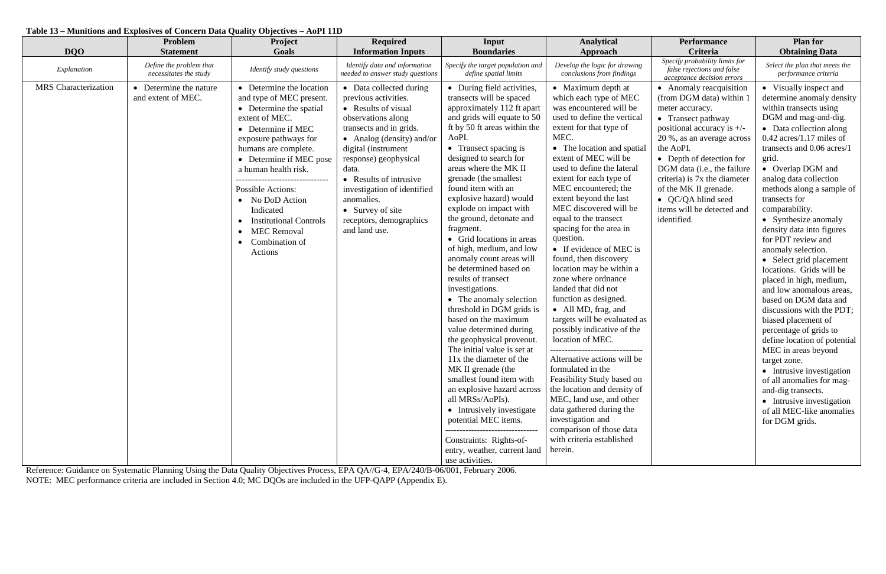## **Table 13 – Munitions and Explosives of Concern Data Quality Objectives – AoPI 11D**

| <b>DQO</b>                  | Problem<br><b>Statement</b>                       | Project<br>Goals                                                                                                                                                                                                                                                                                                                                                                                                                          | <b>Required</b><br><b>Information Inputs</b>                                                                                                                                                                                                                                                                                                         | Input<br><b>Boundaries</b>                                                                                                                                                                                                                                                                                                                                                                                                                                                                                                                                                                                                                                                                                                                                                                                                                                                                                                                                                                                                    | <b>Analytical</b><br>Approach                                                                                                                                                                                                                                                                                                                                                                                                                                                                                                                                                                                                                                                                                                                                                                                                                                                                                                            | <b>Performance</b><br>Criteria                                                                                                                                                                                                                                                                                                                                 | <b>Plan for</b><br><b>Obtaining Data</b>                                                                                                                                                                                                                                                                                                                                                                                                                                                                                                                                                                                                                                                                                                                                                                                                                                      |
|-----------------------------|---------------------------------------------------|-------------------------------------------------------------------------------------------------------------------------------------------------------------------------------------------------------------------------------------------------------------------------------------------------------------------------------------------------------------------------------------------------------------------------------------------|------------------------------------------------------------------------------------------------------------------------------------------------------------------------------------------------------------------------------------------------------------------------------------------------------------------------------------------------------|-------------------------------------------------------------------------------------------------------------------------------------------------------------------------------------------------------------------------------------------------------------------------------------------------------------------------------------------------------------------------------------------------------------------------------------------------------------------------------------------------------------------------------------------------------------------------------------------------------------------------------------------------------------------------------------------------------------------------------------------------------------------------------------------------------------------------------------------------------------------------------------------------------------------------------------------------------------------------------------------------------------------------------|------------------------------------------------------------------------------------------------------------------------------------------------------------------------------------------------------------------------------------------------------------------------------------------------------------------------------------------------------------------------------------------------------------------------------------------------------------------------------------------------------------------------------------------------------------------------------------------------------------------------------------------------------------------------------------------------------------------------------------------------------------------------------------------------------------------------------------------------------------------------------------------------------------------------------------------|----------------------------------------------------------------------------------------------------------------------------------------------------------------------------------------------------------------------------------------------------------------------------------------------------------------------------------------------------------------|-------------------------------------------------------------------------------------------------------------------------------------------------------------------------------------------------------------------------------------------------------------------------------------------------------------------------------------------------------------------------------------------------------------------------------------------------------------------------------------------------------------------------------------------------------------------------------------------------------------------------------------------------------------------------------------------------------------------------------------------------------------------------------------------------------------------------------------------------------------------------------|
| Explanation                 | Define the problem that<br>necessitates the study | Identify study questions                                                                                                                                                                                                                                                                                                                                                                                                                  | Identify data and information<br>needed to answer study questions                                                                                                                                                                                                                                                                                    | Specify the target population and<br>define spatial limits                                                                                                                                                                                                                                                                                                                                                                                                                                                                                                                                                                                                                                                                                                                                                                                                                                                                                                                                                                    | Develop the logic for drawing<br>conclusions from findings                                                                                                                                                                                                                                                                                                                                                                                                                                                                                                                                                                                                                                                                                                                                                                                                                                                                               | Specify probability limits for<br>false rejections and false<br>acceptance decision errors                                                                                                                                                                                                                                                                     | Select the plan that meets the<br>performance criteria                                                                                                                                                                                                                                                                                                                                                                                                                                                                                                                                                                                                                                                                                                                                                                                                                        |
| <b>MRS</b> Characterization | Determine the nature<br>and extent of MEC.        | • Determine the location<br>and type of MEC present.<br>• Determine the spatial<br>extent of MEC.<br>• Determine if MEC<br>exposure pathways for<br>humans are complete.<br>• Determine if MEC pose<br>a human health risk.<br>--------------------------------<br><b>Possible Actions:</b><br>• No DoD Action<br>Indicated<br><b>Institutional Controls</b><br><b>MEC Removal</b><br>$\bullet$<br>Combination of<br>$\bullet$<br>Actions | • Data collected during<br>previous activities.<br>• Results of visual<br>observations along<br>transects and in grids.<br>• Analog (density) and/or<br>digital (instrument<br>response) geophysical<br>data.<br>• Results of intrusive<br>investigation of identified<br>anomalies.<br>• Survey of site<br>receptors, demographics<br>and land use. | • During field activities,<br>transects will be spaced<br>approximately 112 ft apart<br>and grids will equate to 50<br>ft by 50 ft areas within the<br>AoPI.<br>• Transect spacing is<br>designed to search for<br>areas where the MK II<br>grenade (the smallest<br>found item with an<br>explosive hazard) would<br>explode on impact with<br>the ground, detonate and<br>fragment.<br>• Grid locations in areas<br>of high, medium, and low<br>anomaly count areas will<br>be determined based on<br>results of transect<br>investigations.<br>• The anomaly selection<br>threshold in DGM grids is<br>based on the maximum<br>value determined during<br>the geophysical proveout.<br>The initial value is set at<br>11x the diameter of the<br>MK II grenade (the<br>smallest found item with<br>an explosive hazard across<br>all MRSs/AoPIs).<br>• Intrusively investigate<br>potential MEC items.<br>----------------------------------<br>Constraints: Rights-of-<br>entry, weather, current land<br>use activities. | • Maximum depth at<br>which each type of MEC<br>was encountered will be<br>used to define the vertical<br>extent for that type of<br>MEC.<br>• The location and spatial<br>extent of MEC will be<br>used to define the lateral<br>extent for each type of<br>MEC encountered; the<br>extent beyond the last<br>MEC discovered will be<br>equal to the transect<br>spacing for the area in<br>question.<br>• If evidence of MEC is<br>found, then discovery<br>location may be within a<br>zone where ordnance<br>landed that did not<br>function as designed.<br>• All MD, frag, and<br>targets will be evaluated as<br>possibly indicative of the<br>location of MEC.<br>Alternative actions will be<br>formulated in the<br>Feasibility Study based on<br>the location and density of<br>MEC, land use, and other<br>data gathered during the<br>investigation and<br>comparison of those data<br>with criteria established<br>herein. | • Anomaly reacquisition<br>(from DGM data) within 1<br>meter accuracy.<br>• Transect pathway<br>positional accuracy is $+/-$<br>20 %, as an average across<br>the AoPI.<br>• Depth of detection for<br>DGM data (i.e., the failure<br>criteria) is 7x the diameter<br>of the MK II grenade.<br>• QC/QA blind seed<br>items will be detected and<br>identified. | • Visually inspect and<br>determine anomaly density<br>within transects using<br>DGM and mag-and-dig.<br>• Data collection along<br>$0.42$ acres/1.17 miles of<br>transects and 0.06 acres/1<br>grid.<br>• Overlap DGM and<br>analog data collection<br>methods along a sample of<br>transects for<br>comparability.<br>• Synthesize anomaly<br>density data into figures<br>for PDT review and<br>anomaly selection.<br>• Select grid placement<br>locations. Grids will be<br>placed in high, medium,<br>and low anomalous areas,<br>based on DGM data and<br>discussions with the PDT;<br>biased placement of<br>percentage of grids to<br>define location of potential<br>MEC in areas beyond<br>target zone.<br>• Intrusive investigation<br>of all anomalies for mag-<br>and-dig transects.<br>• Intrusive investigation<br>of all MEC-like anomalies<br>for DGM grids. |